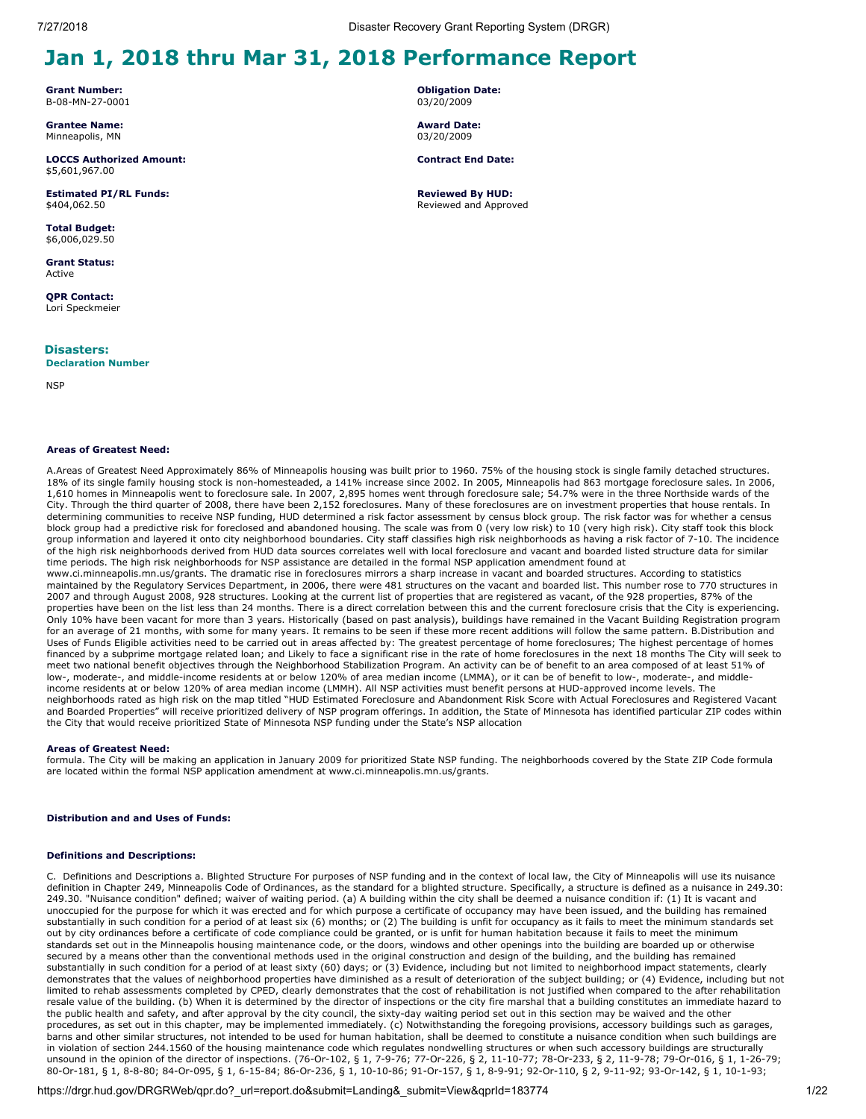# **Jan 1, 2018 thru Mar 31, 2018 Performance Report**

**Grant Number:** B-08-MN-27-0001

**Grantee Name:** Minneapolis, MN

**LOCCS Authorized Amount:** \$5,601,967.00

**Estimated PI/RL Funds:** \$404,062.50

**Total Budget:** \$6,006,029.50

**Grant Status:** Active

**QPR Contact:** Lori Speckmeier

**Disasters:**

**Declaration Number**

**NSP** 

### **Areas of Greatest Need:**

A.Areas of Greatest Need Approximately 86% of Minneapolis housing was built prior to 1960. 75% of the housing stock is single family detached structures. 18% of its single family housing stock is non-homesteaded, a 141% increase since 2002. In 2005, Minneapolis had 863 mortgage foreclosure sales. In 2006, 1,610 homes in Minneapolis went to foreclosure sale. In 2007, 2,895 homes went through foreclosure sale; 54.7% were in the three Northside wards of the City. Through the third quarter of 2008, there have been 2,152 foreclosures. Many of these foreclosures are on investment properties that house rentals. In determining communities to receive NSP funding, HUD determined a risk factor assessment by census block group. The risk factor was for whether a census block group had a predictive risk for foreclosed and abandoned housing. The scale was from 0 (very low risk) to 10 (very high risk). City staff took this block group information and layered it onto city neighborhood boundaries. City staff classifies high risk neighborhoods as having a risk factor of 7-10. The incidence of the high risk neighborhoods derived from HUD data sources correlates well with local foreclosure and vacant and boarded listed structure data for similar time periods. The high risk neighborhoods for NSP assistance are detailed in the formal NSP application amendment found at

www.ci.minneapolis.mn.us/grants. The dramatic rise in foreclosures mirrors a sharp increase in vacant and boarded structures. According to statistics maintained by the Regulatory Services Department, in 2006, there were 481 structures on the vacant and boarded list. This number rose to 770 structures in 2007 and through August 2008, 928 structures. Looking at the current list of properties that are registered as vacant, of the 928 properties, 87% of the properties have been on the list less than 24 months. There is a direct correlation between this and the current foreclosure crisis that the City is experiencing. Only 10% have been vacant for more than 3 years. Historically (based on past analysis), buildings have remained in the Vacant Building Registration program for an average of 21 months, with some for many years. It remains to be seen if these more recent additions will follow the same pattern. B.Distribution and Uses of Funds Eligible activities need to be carried out in areas affected by: The greatest percentage of home foreclosures; The highest percentage of homes financed by a subprime mortgage related loan; and Likely to face a significant rise in the rate of home foreclosures in the next 18 months The City will seek to meet two national benefit objectives through the Neighborhood Stabilization Program. An activity can be of benefit to an area composed of at least 51% of low-, moderate-, and middle-income residents at or below 120% of area median income (LMMA), or it can be of benefit to low-, moderate-, and middleincome residents at or below 120% of area median income (LMMH). All NSP activities must benefit persons at HUD-approved income levels. The neighborhoods rated as high risk on the map titled "HUD Estimated Foreclosure and Abandonment Risk Score with Actual Foreclosures and Registered Vacant and Boarded Properties" will receive prioritized delivery of NSP program offerings. In addition, the State of Minnesota has identified particular ZIP codes within the City that would receive prioritized State of Minnesota NSP funding under the State's NSP allocation

### **Areas of Greatest Need:**

formula. The City will be making an application in January 2009 for prioritized State NSP funding. The neighborhoods covered by the State ZIP Code formula are located within the formal NSP application amendment at www.ci.minneapolis.mn.us/grants.

### **Distribution and and Uses of Funds:**

### **Definitions and Descriptions:**

C. Definitions and Descriptions a. Blighted Structure For purposes of NSP funding and in the context of local law, the City of Minneapolis will use its nuisance definition in Chapter 249, Minneapolis Code of Ordinances, as the standard for a blighted structure. Specifically, a structure is defined as a nuisance in 249.30: 249.30. "Nuisance condition" defined; waiver of waiting period. (a) A building within the city shall be deemed a nuisance condition if: (1) It is vacant and unoccupied for the purpose for which it was erected and for which purpose a certificate of occupancy may have been issued, and the building has remained substantially in such condition for a period of at least six (6) months; or (2) The building is unfit for occupancy as it fails to meet the minimum standards set out by city ordinances before a certificate of code compliance could be granted, or is unfit for human habitation because it fails to meet the minimum standards set out in the Minneapolis housing maintenance code, or the doors, windows and other openings into the building are boarded up or otherwise secured by a means other than the conventional methods used in the original construction and design of the building, and the building has remained substantially in such condition for a period of at least sixty (60) days; or (3) Evidence, including but not limited to neighborhood impact statements, clearly demonstrates that the values of neighborhood properties have diminished as a result of deterioration of the subject building; or (4) Evidence, including but not limited to rehab assessments completed by CPED, clearly demonstrates that the cost of rehabilitation is not justified when compared to the after rehabilitation resale value of the building. (b) When it is determined by the director of inspections or the city fire marshal that a building constitutes an immediate hazard to the public health and safety, and after approval by the city council, the sixty-day waiting period set out in this section may be waived and the other procedures, as set out in this chapter, may be implemented immediately. (c) Notwithstanding the foregoing provisions, accessory buildings such as garages, barns and other similar structures, not intended to be used for human habitation, shall be deemed to constitute a nuisance condition when such buildings are in violation of section 244.1560 of the housing maintenance code which regulates nondwelling structures or when such accessory buildings are structurally unsound in the opinion of the director of inspections. (76-Or-102, § 1, 7-9-76; 77-Or-226, § 2, 11-10-77; 78-Or-233, § 2, 11-9-78; 79-Or-016, § 1, 1-26-79; 80-Or-181, § 1, 8-8-80; 84-Or-095, § 1, 6-15-84; 86-Or-236, § 1, 10-10-86; 91-Or-157, § 1, 8-9-91; 92-Or-110, § 2, 9-11-92; 93-Or-142, § 1, 10-1-93;

**Obligation Date:** 03/20/2009

**Award Date:** 03/20/2009

**Contract End Date:**

**Reviewed By HUD:** Reviewed and Approved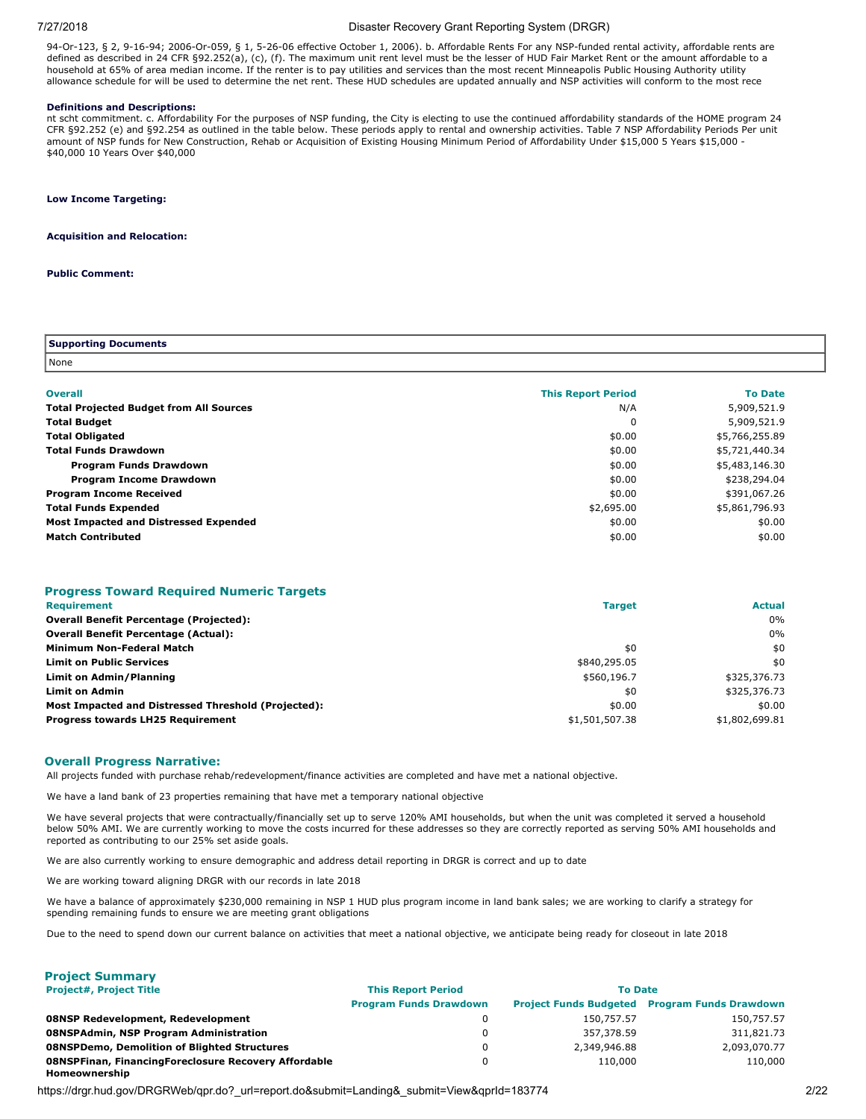### 7/27/2018 Disaster Recovery Grant Reporting System (DRGR)

94-Or-123, § 2, 9-16-94; 2006-Or-059, § 1, 5-26-06 effective October 1, 2006). b. Affordable Rents For any NSP-funded rental activity, affordable rents are defined as described in 24 CFR §92.252(a), (c), (f). The maximum unit rent level must be the lesser of HUD Fair Market Rent or the amount affordable to a household at 65% of area median income. If the renter is to pay utilities and services than the most recent Minneapolis Public Housing Authority utility allowance schedule for will be used to determine the net rent. These HUD schedules are updated annually and NSP activities will conform to the most rece

### **Definitions and Descriptions:**

nt scht commitment. c. Affordability For the purposes of NSP funding, the City is electing to use the continued affordability standards of the HOME program 24 CFR §92.252 (e) and §92.254 as outlined in the table below. These periods apply to rental and ownership activities. Table 7 NSP Affordability Periods Per unit amount of NSP funds for New Construction, Rehab or Acquisition of Existing Housing Minimum Period of Affordability Under \$15,000 5 Years \$15,000 -\$40,000 10 Years Over \$40,000

### **Low Income Targeting:**

### **Acquisition and Relocation:**

### **Public Comment:**

| Supporting Documents |  |
|----------------------|--|
| None                 |  |

| <b>Overall</b>                                 | <b>This Report Period</b> | <b>To Date</b> |
|------------------------------------------------|---------------------------|----------------|
| <b>Total Projected Budget from All Sources</b> | N/A                       | 5,909,521.9    |
| <b>Total Budget</b>                            | 0                         | 5,909,521.9    |
| <b>Total Obligated</b>                         | \$0.00                    | \$5,766,255.89 |
| <b>Total Funds Drawdown</b>                    | \$0.00                    | \$5,721,440.34 |
| <b>Program Funds Drawdown</b>                  | \$0.00                    | \$5,483,146.30 |
| <b>Program Income Drawdown</b>                 | \$0.00                    | \$238,294.04   |
| <b>Program Income Received</b>                 | \$0.00                    | \$391,067.26   |
| <b>Total Funds Expended</b>                    | \$2,695.00                | \$5,861,796.93 |
| Most Impacted and Distressed Expended          | \$0.00                    | \$0.00         |
| <b>Match Contributed</b>                       | \$0.00                    | \$0.00         |

# **Progress Toward Required Numeric Targets**

| <b>Requirement</b>                                  | <b>Target</b>  | <b>Actual</b>  |
|-----------------------------------------------------|----------------|----------------|
| <b>Overall Benefit Percentage (Projected):</b>      |                | 0%             |
| <b>Overall Benefit Percentage (Actual):</b>         |                | 0%             |
| Minimum Non-Federal Match                           | \$0            | \$0            |
| <b>Limit on Public Services</b>                     | \$840,295.05   | \$0            |
| <b>Limit on Admin/Planning</b>                      | \$560,196.7    | \$325,376.73   |
| <b>Limit on Admin</b>                               | \$0            | \$325,376.73   |
| Most Impacted and Distressed Threshold (Projected): | \$0.00         | \$0.00         |
| <b>Progress towards LH25 Requirement</b>            | \$1,501,507.38 | \$1,802,699.81 |

### **Overall Progress Narrative:**

All projects funded with purchase rehab/redevelopment/finance activities are completed and have met a national objective.

We have a land bank of 23 properties remaining that have met a temporary national objective

We have several projects that were contractually/financially set up to serve 120% AMI households, but when the unit was completed it served a household below 50% AMI. We are currently working to move the costs incurred for these addresses so they are correctly reported as serving 50% AMI households and reported as contributing to our 25% set aside goals.

We are also currently working to ensure demographic and address detail reporting in DRGR is correct and up to date

We are working toward aligning DRGR with our records in late 2018

We have a balance of approximately \$230,000 remaining in NSP 1 HUD plus program income in land bank sales; we are working to clarify a strategy for spending remaining funds to ensure we are meeting grant obligations

Due to the need to spend down our current balance on activities that meet a national objective, we anticipate being ready for closeout in late 2018

| <b>Project Summary</b>                                                |                               |                |                                                      |
|-----------------------------------------------------------------------|-------------------------------|----------------|------------------------------------------------------|
| <b>Project#, Project Title</b>                                        | <b>This Report Period</b>     | <b>To Date</b> |                                                      |
|                                                                       | <b>Program Funds Drawdown</b> |                | <b>Project Funds Budgeted Program Funds Drawdown</b> |
| <b>08NSP Redevelopment, Redevelopment</b>                             | 0                             | 150,757.57     | 150,757.57                                           |
| 08NSPAdmin, NSP Program Administration                                | 0                             | 357,378.59     | 311,821,73                                           |
| <b>08NSPDemo, Demolition of Blighted Structures</b>                   | 0                             | 2,349,946.88   | 2,093,070.77                                         |
| 08NSPFinan, FinancingForeclosure Recovery Affordable<br>Homeownership | 0                             | 110,000        | 110,000                                              |

https://drgr.hud.gov/DRGRWeb/qpr.do?\_url=report.do&submit=Landing&\_submit=View&gprId=183774 2/22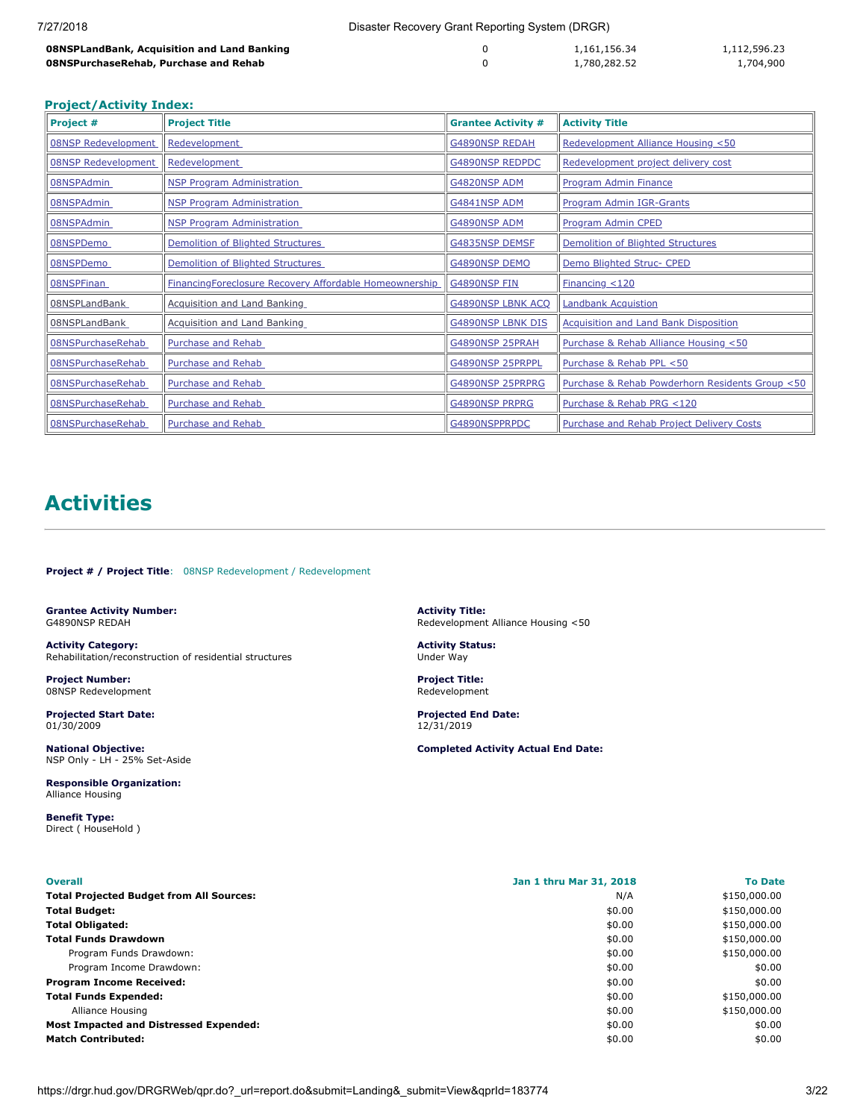| 7/27/2018                                   | Disaster Recovery Grant Reporting System (DRGR) |              |              |
|---------------------------------------------|-------------------------------------------------|--------------|--------------|
| 08NSPLandBank, Acquisition and Land Banking | 0                                               | 1,161,156.34 | 1,112,596.23 |
| 08NSPurchaseRehab, Purchase and Rehab       |                                                 | 1,780,282.52 | 1,704,900    |

### **Project/Activity Index:**

| Project #                  | <b>Project Title</b>                                   | <b>Grantee Activity #</b> | <b>Activity Title</b>                            |
|----------------------------|--------------------------------------------------------|---------------------------|--------------------------------------------------|
| <b>08NSP Redevelopment</b> | Redevelopment                                          | <b>G4890NSP REDAH</b>     | Redevelopment Alliance Housing <50               |
| <b>08NSP Redevelopment</b> | <b>Redevelopment</b>                                   | <b>G4890NSP REDPDC</b>    | Redevelopment project delivery cost              |
| 08NSPAdmin                 | <b>NSP Program Administration</b>                      | G4820NSP ADM              | Program Admin Finance                            |
| 08NSPAdmin                 | <b>NSP Program Administration</b>                      | G4841NSP ADM              | Program Admin IGR-Grants                         |
| 08NSPAdmin                 | <b>NSP Program Administration</b>                      | <b>G4890NSP ADM</b>       | Program Admin CPED                               |
| 08NSPDemo                  | Demolition of Blighted Structures                      | <b>G4835NSP DEMSF</b>     | Demolition of Blighted Structures                |
| 08NSPDemo                  | Demolition of Blighted Structures                      | G4890NSP DEMO             | Demo Blighted Struc- CPED                        |
| 08NSPFinan                 | FinancingForeclosure Recovery Affordable Homeownership | <b>G4890NSP FIN</b>       | Financial < 120                                  |
| 08NSPLandBank              | <b>Acquisition and Land Banking</b>                    | <b>G4890NSP LBNK ACQ</b>  | <b>Landbank Acquistion</b>                       |
| 08NSPLandBank              | <b>Acquisition and Land Banking</b>                    | <b>G4890NSP LBNK DIS</b>  | <b>Acquisition and Land Bank Disposition</b>     |
| 08NSPurchaseRehab          | Purchase and Rehab                                     | G4890NSP 25PRAH           | Purchase & Rehab Alliance Housing <50            |
| 08NSPurchaseRehab          | <b>Purchase and Rehab</b>                              | G4890NSP 25PRPPL          | Purchase & Rehab PPL <50                         |
| 08NSPurchaseRehab          | <b>Purchase and Rehab</b>                              | G4890NSP 25PRPRG          | Purchase & Rehab Powderhorn Residents Group <50  |
| 08NSPurchaseRehab          | Purchase and Rehab                                     | <b>G4890NSP PRPRG</b>     | Purchase & Rehab PRG <120                        |
| 08NSPurchaseRehab          | Purchase and Rehab                                     | G4890NSPPRPDC             | <b>Purchase and Rehab Project Delivery Costs</b> |

# **Activities**

<span id="page-2-0"></span>**Project # / Project Title**: 08NSP Redevelopment / Redevelopment

<span id="page-2-1"></span>**Grantee Activity Number:** G4890NSP REDAH

**Activity Category:** Rehabilitation/reconstruction of residential structures

**Project Number:** 08NSP Redevelopment

**Projected Start Date:** 01/30/2009

**National Objective:** NSP Only - LH - 25% Set-Aside

**Responsible Organization:** Alliance Housing

**Benefit Type:** Direct ( HouseHold ) **Activity Title:** Redevelopment Alliance Housing <50

**Activity Status:** Under Way

**Project Title:** Redevelopment

**Projected End Date:** 12/31/2019

| <b>Overall</b>                                  | Jan 1 thru Mar 31, 2018 | <b>To Date</b> |
|-------------------------------------------------|-------------------------|----------------|
| <b>Total Projected Budget from All Sources:</b> | N/A                     | \$150,000.00   |
| <b>Total Budget:</b>                            | \$0.00                  | \$150,000.00   |
| <b>Total Obligated:</b>                         | \$0.00                  | \$150,000.00   |
| <b>Total Funds Drawdown</b>                     | \$0.00                  | \$150,000.00   |
| Program Funds Drawdown:                         | \$0.00                  | \$150,000.00   |
| Program Income Drawdown:                        | \$0.00                  | \$0.00         |
| <b>Program Income Received:</b>                 | \$0.00                  | \$0.00         |
| <b>Total Funds Expended:</b>                    | \$0.00                  | \$150,000.00   |
| Alliance Housing                                | \$0.00                  | \$150,000.00   |
| <b>Most Impacted and Distressed Expended:</b>   | \$0.00                  | \$0.00         |
| <b>Match Contributed:</b>                       | \$0.00                  | \$0.00         |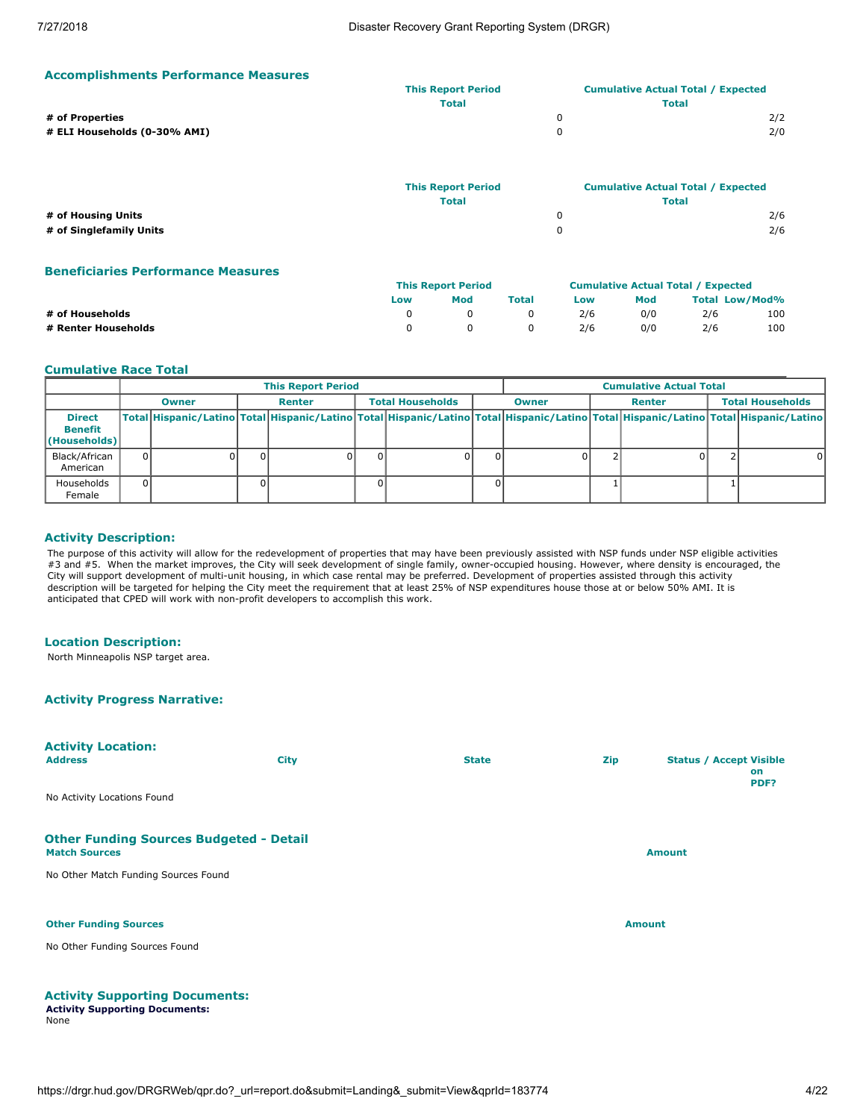| <b>Accomplishments Performance Measures</b> |  |
|---------------------------------------------|--|
|---------------------------------------------|--|

|                              | <b>This Report Period</b> | <b>Cumulative Actual Total / Expected</b> |
|------------------------------|---------------------------|-------------------------------------------|
|                              | <b>Total</b>              | Total                                     |
| # of Properties              |                           | 2/2                                       |
| # ELI Households (0-30% AMI) |                           | 2/0                                       |
|                              |                           |                                           |

|                         | <b>This Report Period</b> | <b>Cumulative Actual Total / Expected</b> |
|-------------------------|---------------------------|-------------------------------------------|
|                         | <b>Total</b>              | Total                                     |
| # of Housing Units      |                           | 2/6                                       |
| # of Singlefamily Units |                           | 2/6                                       |

# **Beneficiaries Performance Measures**

|                     | <b>This Report Period</b> |     |              | <b>Cumulative Actual Total / Expected</b> |     |                       |     |
|---------------------|---------------------------|-----|--------------|-------------------------------------------|-----|-----------------------|-----|
|                     | Low                       | Mod | <b>Total</b> | Low                                       | Mod | <b>Total Low/Mod%</b> |     |
| # of Households     |                           |     |              | 2/6                                       | 0/0 | 2/6                   | 100 |
| # Renter Households |                           |     |              | 2/6                                       | 0/0 | 2/6                   | 100 |

### **Cumulative Race Total**

|                                                 | <b>This Report Period</b> |              |  |        |                         |  |              |  | <b>Cumulative Actual Total</b> |  |                         |                                                                                                                                     |
|-------------------------------------------------|---------------------------|--------------|--|--------|-------------------------|--|--------------|--|--------------------------------|--|-------------------------|-------------------------------------------------------------------------------------------------------------------------------------|
|                                                 |                           | <b>Owner</b> |  | Renter | <b>Total Households</b> |  | <b>Owner</b> |  | Renter                         |  | <b>Total Households</b> |                                                                                                                                     |
| <b>Direct</b><br><b>Benefit</b><br>(Households) |                           |              |  |        |                         |  |              |  |                                |  |                         | Total Hispanic/Latino Total Hispanic/Latino Total Hispanic/Latino Total Hispanic/Latino Total Hispanic/Latino Total Hispanic/Latino |
| Black/African<br>American                       |                           |              |  |        | $\Omega$                |  |              |  |                                |  |                         | 0                                                                                                                                   |
| Households<br>Female                            |                           |              |  |        | 01                      |  |              |  |                                |  |                         |                                                                                                                                     |

### **Activity Description:**

The purpose of this activity will allow for the redevelopment of properties that may have been previously assisted with NSP funds under NSP eligible activities #3 and #5. When the market improves, the City will seek development of single family, owner-occupied housing. However, where density is encouraged, the City will support development of multi-unit housing, in which case rental may be preferred. Development of properties assisted through this activity description will be targeted for helping the City meet the requirement that at least 25% of NSP expenditures house those at or below 50% AMI. It is anticipated that CPED will work with non-profit developers to accomplish this work.

### **Location Description:**

North Minneapolis NSP target area.

# **Activity Progress Narrative:**

| <b>Activity Location:</b><br><b>Address</b>                            | <b>City</b> | <b>State</b> | <b>Zip</b> | <b>Status / Accept Visible</b><br>on<br>PDF? |
|------------------------------------------------------------------------|-------------|--------------|------------|----------------------------------------------|
| No Activity Locations Found                                            |             |              |            |                                              |
| <b>Other Funding Sources Budgeted - Detail</b><br><b>Match Sources</b> |             |              |            | <b>Amount</b>                                |
| No Other Match Funding Sources Found                                   |             |              |            |                                              |
| <b>Other Funding Sources</b>                                           |             |              |            | <b>Amount</b>                                |
| No Other Funding Sources Found                                         |             |              |            |                                              |
|                                                                        |             |              |            |                                              |

# **Activity Supporting Documents:**

**Activity Supporting Documents:** None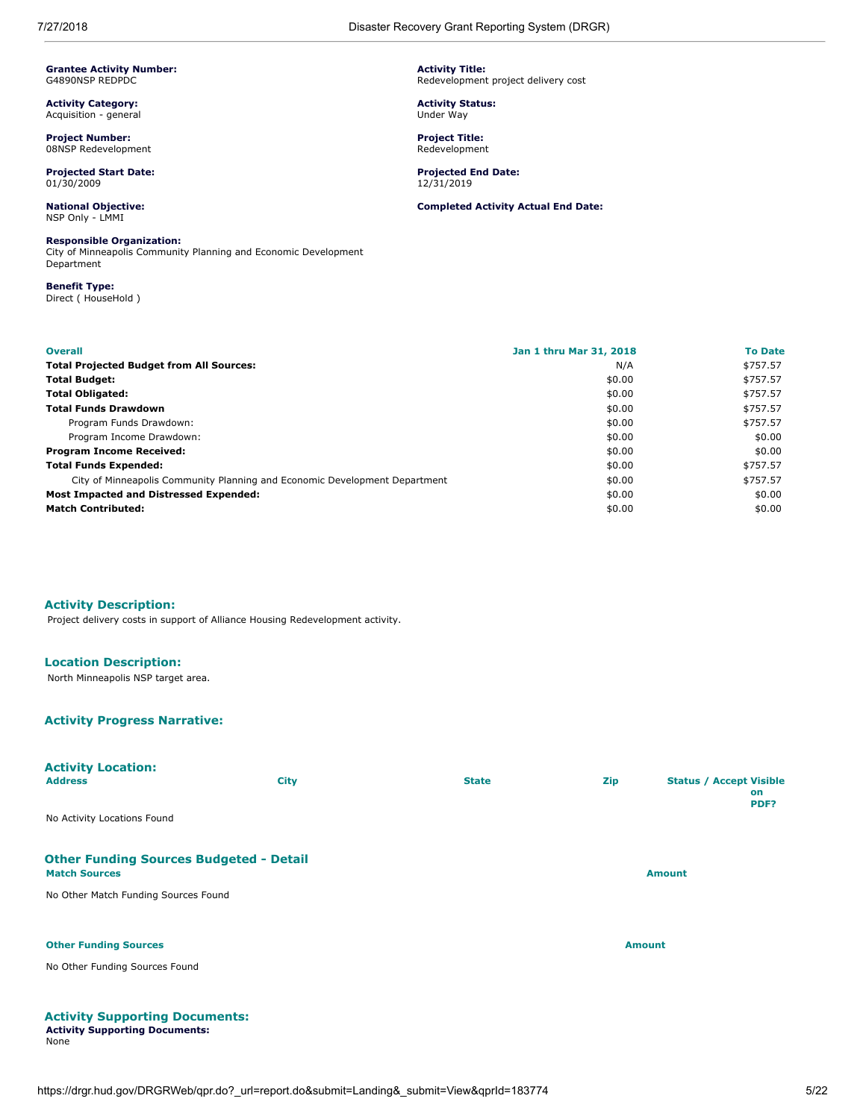<span id="page-4-0"></span>**Grantee Activity Number:** G4890NSP REDPDC

**Activity Category:** Acquisition - general

**Project Number:** 08NSP Redevelopment

**Projected Start Date:** 01/30/2009

**National Objective:** NSP Only - LMMI

# **Responsible Organization:**

City of Minneapolis Community Planning and Economic Development Department

**Benefit Type:** Direct ( HouseHold )

**Overall Jan 1 thru Mar 31, 2018 To Date Total Projected Budget from All Sources:** National Research of the Second State of the State of the State of the S **Total Budget:** \$0.00 \$757.57 **Total Obligated:**  $$5757.57$ **Total Funds Drawdown** \$0.00 \$757.57 Program Funds Drawdown: \$0.00 \$757.57 Program Income Drawdown:  $$0.00$  \$0.00  $$0.00$ **Program Income Received:**  $\text{\$0.00}\$ **Total Funds Expended:**  $$57.57$ City of Minneapolis Community Planning and Economic Development Department \$0.00 \$757.57 **Most Impacted and Distressed Expended:**  $\text{\$0.00}\$ **Match Contributed:**  $\frac{1}{20.00}$  \$0.00  $\frac{1}{20.00}$  \$0.00  $\frac{1}{20.00}$ 

**Activity Description:**

Project delivery costs in support of Alliance Housing Redevelopment activity.

# **Location Description:**

North Minneapolis NSP target area.

### **Activity Progress Narrative:**

**Activity Supporting Documents: Activity Supporting Documents:**

None

| <b>Activity Location:</b><br><b>Address</b>                            | <b>City</b> | <b>State</b> | Zip           | <b>Status / Accept Visible</b><br>on<br>PDF? |
|------------------------------------------------------------------------|-------------|--------------|---------------|----------------------------------------------|
| No Activity Locations Found                                            |             |              |               |                                              |
| <b>Other Funding Sources Budgeted - Detail</b><br><b>Match Sources</b> |             |              |               | <b>Amount</b>                                |
| No Other Match Funding Sources Found                                   |             |              |               |                                              |
| <b>Other Funding Sources</b>                                           |             |              | <b>Amount</b> |                                              |
| No Other Funding Sources Found                                         |             |              |               |                                              |
|                                                                        |             |              |               |                                              |

**Activity Title:** Redevelopment project delivery cost

**Activity Status:** Under Way

**Project Title:** Redevelopment

**Projected End Date:** 12/31/2019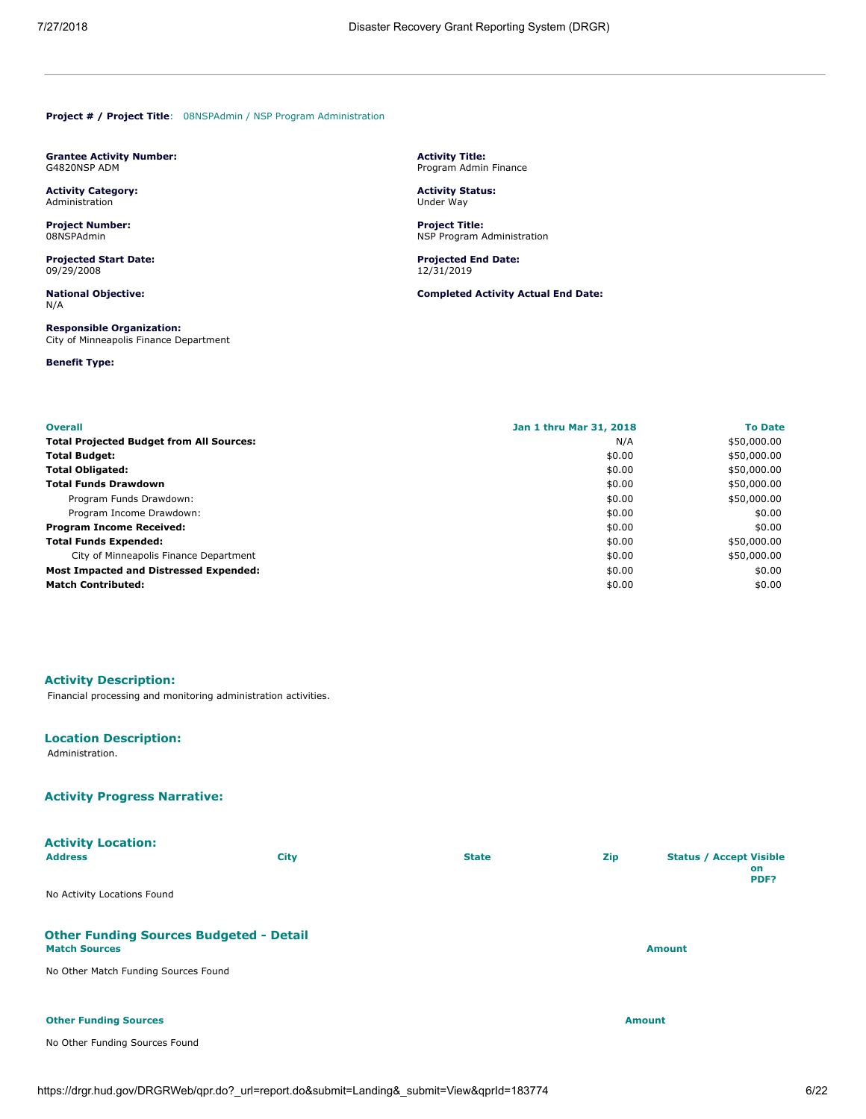<span id="page-5-0"></span>**Project # / Project Title**: 08NSPAdmin / NSP Program Administration

<span id="page-5-1"></span>**Grantee Activity Number:** G4820NSP ADM

**Activity Category:** Administration

**Project Number:** 08NSPAdmin

**Projected Start Date:** 09/29/2008

**National Objective:** N/A

**Responsible Organization:** City of Minneapolis Finance Department

**Benefit Type:**

**Activity Title:** Program Admin Finance

**Activity Status:** Under Way

**Project Title:** NSP Program Administration

**Projected End Date:** 12/31/2019

**Completed Activity Actual End Date:**

| <b>Overall</b>                                  | Jan 1 thru Mar 31, 2018 | <b>To Date</b> |
|-------------------------------------------------|-------------------------|----------------|
| <b>Total Projected Budget from All Sources:</b> | N/A                     | \$50,000.00    |
| <b>Total Budget:</b>                            | \$0.00                  | \$50,000.00    |
| <b>Total Obligated:</b>                         | \$0.00                  | \$50,000.00    |
| <b>Total Funds Drawdown</b>                     | \$0.00                  | \$50,000.00    |
| Program Funds Drawdown:                         | \$0.00                  | \$50,000.00    |
| Program Income Drawdown:                        | \$0.00                  | \$0.00         |
| <b>Program Income Received:</b>                 | \$0.00                  | \$0.00         |
| <b>Total Funds Expended:</b>                    | \$0.00                  | \$50,000.00    |
| City of Minneapolis Finance Department          | \$0.00                  | \$50,000.00    |
| Most Impacted and Distressed Expended:          | \$0.00                  | \$0.00         |
| <b>Match Contributed:</b>                       | \$0.00                  | \$0.00         |

### **Activity Description:**

Financial processing and monitoring administration activities.

# **Location Description:**

Administration.

# **Activity Progress Narrative:**

| <b>Activity Location:</b><br><b>Address</b>                            | <b>City</b> | <b>State</b> | <b>Zip</b> | <b>Status / Accept Visible</b><br>on<br>PDF? |
|------------------------------------------------------------------------|-------------|--------------|------------|----------------------------------------------|
| No Activity Locations Found                                            |             |              |            |                                              |
| <b>Other Funding Sources Budgeted - Detail</b><br><b>Match Sources</b> |             |              |            | <b>Amount</b>                                |
| No Other Match Funding Sources Found                                   |             |              |            |                                              |
| <b>Other Funding Sources</b>                                           |             |              |            | <b>Amount</b>                                |
| No Other Funding Sources Found                                         |             |              |            |                                              |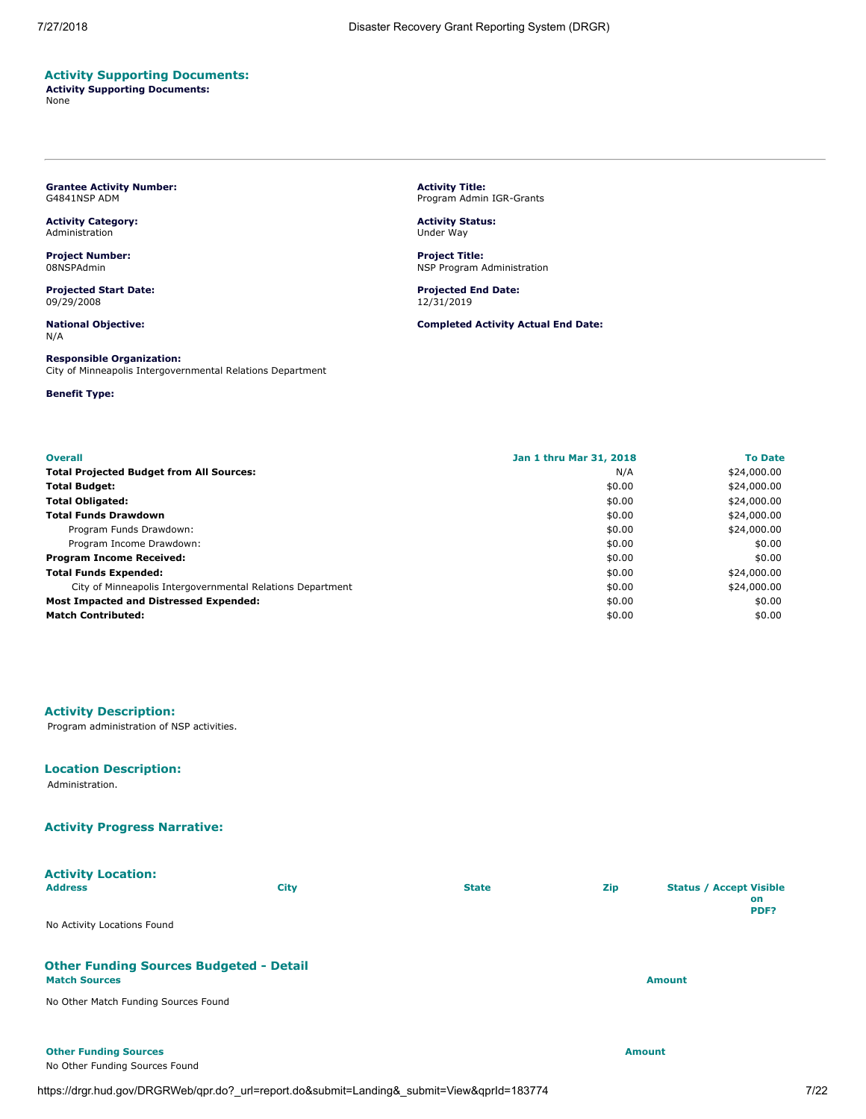# **Activity Supporting Documents:**

**Activity Supporting Documents:** None

### <span id="page-6-0"></span>**Grantee Activity Number:** G4841NSP ADM

**Activity Category:** Administration

**Project Number:** 08NSPAdmin

**Projected Start Date:** 09/29/2008

**National Objective:** N/A

# **Responsible Organization:**

City of Minneapolis Intergovernmental Relations Department

### **Benefit Type:**

**Activity Title:** Program Admin IGR-Grants

**Activity Status:** Under Way

**Project Title:** NSP Program Administration

**Projected End Date:** 12/31/2019

**Completed Activity Actual End Date:**

| <b>Overall</b>                                             | Jan 1 thru Mar 31, 2018 | <b>To Date</b> |
|------------------------------------------------------------|-------------------------|----------------|
| <b>Total Projected Budget from All Sources:</b>            | N/A                     | \$24,000.00    |
| <b>Total Budget:</b>                                       | \$0.00                  | \$24,000.00    |
| <b>Total Obligated:</b>                                    | \$0.00                  | \$24,000.00    |
| <b>Total Funds Drawdown</b>                                | \$0.00                  | \$24,000.00    |
| Program Funds Drawdown:                                    | \$0.00                  | \$24,000.00    |
| Program Income Drawdown:                                   | \$0.00                  | \$0.00         |
| <b>Program Income Received:</b>                            | \$0.00                  | \$0.00         |
| <b>Total Funds Expended:</b>                               | \$0.00                  | \$24,000.00    |
| City of Minneapolis Intergovernmental Relations Department | \$0.00                  | \$24,000.00    |
| <b>Most Impacted and Distressed Expended:</b>              | \$0.00                  | \$0.00         |
| <b>Match Contributed:</b>                                  | \$0.00                  | \$0.00         |

### **Activity Description:**

Program administration of NSP activities.

# **Location Description:**

Administration.

# **Activity Progress Narrative:**

No Other Funding Sources Found

| <b>Activity Location:</b><br><b>Address</b>                            | <b>City</b> | <b>State</b> | <b>Zip</b> | <b>Status / Accept Visible</b><br>on<br>PDF? |
|------------------------------------------------------------------------|-------------|--------------|------------|----------------------------------------------|
| No Activity Locations Found                                            |             |              |            |                                              |
| <b>Other Funding Sources Budgeted - Detail</b><br><b>Match Sources</b> |             |              |            | <b>Amount</b>                                |
| No Other Match Funding Sources Found                                   |             |              |            |                                              |

**Other Funding Sources Amount Amount Amount Amount Amount Amount Amount**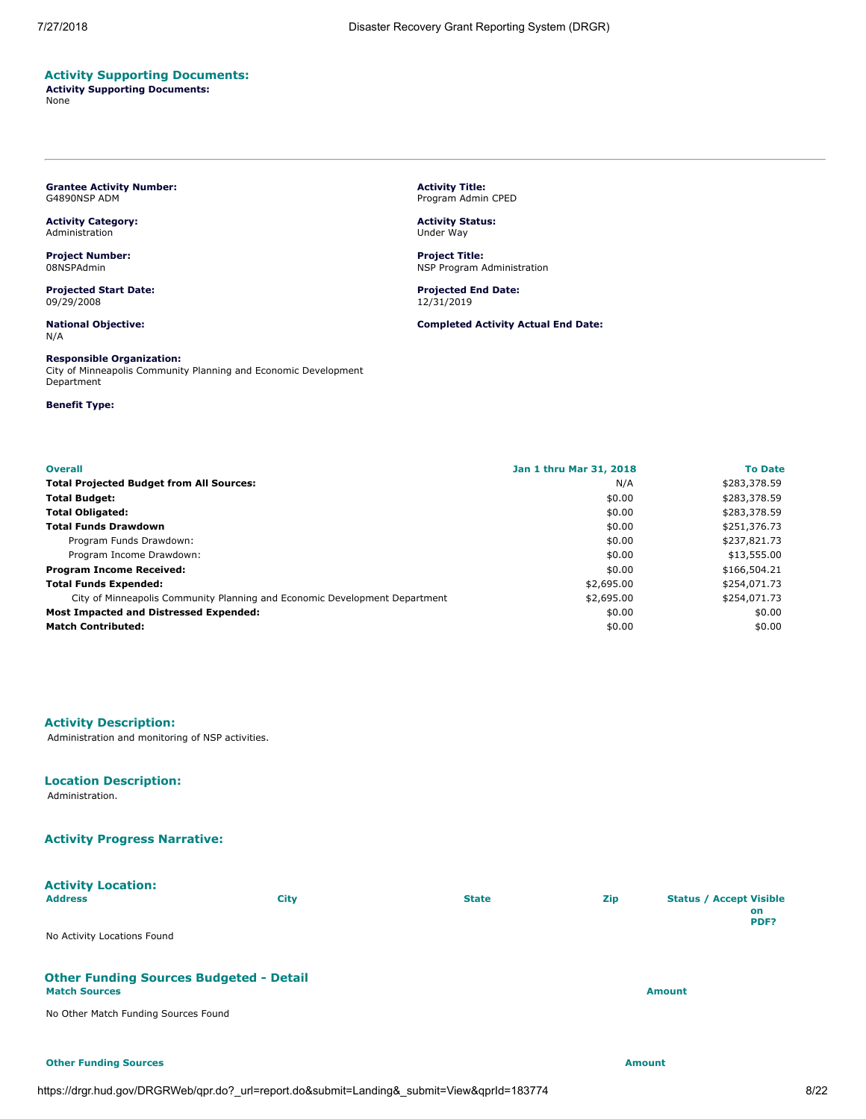# **Activity Supporting Documents:**

**Activity Supporting Documents:** None

### <span id="page-7-0"></span>**Grantee Activity Number:** G4890NSP ADM

**Activity Category:** Administration

**Project Number:** 08NSPAdmin

**Projected Start Date:** 09/29/2008

**National Objective:** N/A

### **Responsible Organization:**

City of Minneapolis Community Planning and Economic Development Department

### **Benefit Type:**

**Activity Title:** Program Admin CPED

**Activity Status:** Under Way

**Project Title:** NSP Program Administration

**Projected End Date:** 12/31/2019

**Completed Activity Actual End Date:**

| <b>Overall</b>                                                             | Jan 1 thru Mar 31, 2018 | <b>To Date</b> |
|----------------------------------------------------------------------------|-------------------------|----------------|
| <b>Total Projected Budget from All Sources:</b>                            | N/A                     | \$283,378.59   |
| <b>Total Budget:</b>                                                       | \$0.00                  | \$283,378.59   |
| <b>Total Obligated:</b>                                                    | \$0.00                  | \$283,378.59   |
| <b>Total Funds Drawdown</b>                                                | \$0.00                  | \$251,376.73   |
| Program Funds Drawdown:                                                    | \$0.00                  | \$237,821.73   |
| Program Income Drawdown:                                                   | \$0.00                  | \$13,555.00    |
| <b>Program Income Received:</b>                                            | \$0.00                  | \$166,504.21   |
| <b>Total Funds Expended:</b>                                               | \$2,695.00              | \$254,071.73   |
| City of Minneapolis Community Planning and Economic Development Department | \$2,695.00              | \$254,071.73   |
| Most Impacted and Distressed Expended:                                     | \$0.00                  | \$0.00         |
| <b>Match Contributed:</b>                                                  | \$0.00                  | \$0.00         |

# **Activity Description:**

Administration and monitoring of NSP activities.

### **Location Description:**

Administration.

# **Activity Progress Narrative:**

# **Activity Location:**

| <b>Address</b>                                                                                                                            | City | <b>State</b> | Zip | <b>Status / Accept Visible</b><br><b>on</b> |
|-------------------------------------------------------------------------------------------------------------------------------------------|------|--------------|-----|---------------------------------------------|
| No Activity Locations Found                                                                                                               |      |              |     | PDF?                                        |
| <b>Other Funding Sources Budgeted - Detail</b><br>$\mathbf{a}$ , $\mathbf{a}$ , $\mathbf{a}$ , $\mathbf{a}$ , $\mathbf{a}$ , $\mathbf{a}$ |      |              |     |                                             |

# **Match Sources Amount**

No Other Match Funding Sources Found

**Other Funding Sources Amount**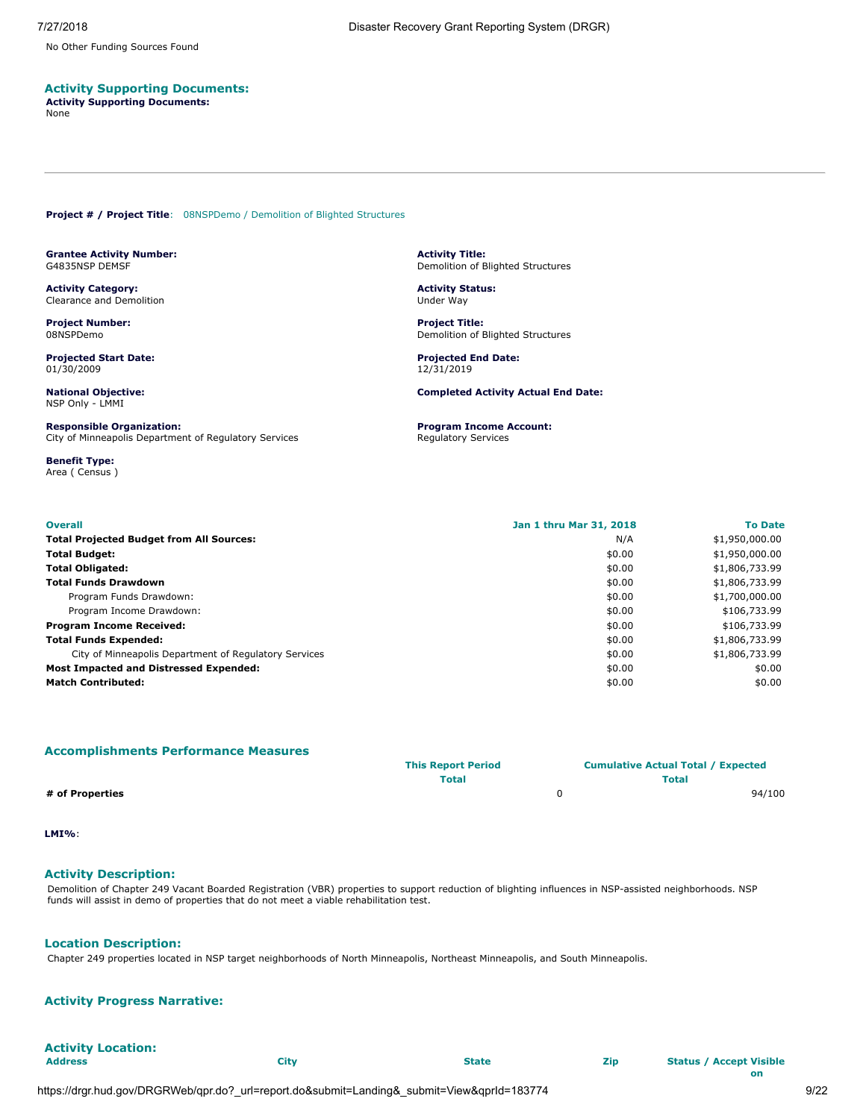No Other Funding Sources Found

## **Activity Supporting Documents:**

**Activity Supporting Documents:** None

<span id="page-8-0"></span>**Project # / Project Title**: 08NSPDemo / Demolition of Blighted Structures

<span id="page-8-1"></span>**Grantee Activity Number:** G4835NSP DEMSF

**Activity Category:** Clearance and Demolition

**Project Number:** 08NSPDemo

**Projected Start Date:** 01/30/2009

**National Objective:** NSP Only - LMMI

**Responsible Organization:** City of Minneapolis Department of Regulatory Services

**Benefit Type:** Area ( Census ) **Activity Title:** Demolition of Blighted Structures

**Activity Status:** Under Way

**Project Title:** Demolition of Blighted Structures

**Projected End Date:** 12/31/2019

**Completed Activity Actual End Date:**

**Program Income Account:** Regulatory Services

| <b>Overall</b>                                        | Jan 1 thru Mar 31, 2018 | <b>To Date</b> |
|-------------------------------------------------------|-------------------------|----------------|
| <b>Total Projected Budget from All Sources:</b>       | N/A                     | \$1,950,000.00 |
| <b>Total Budget:</b>                                  | \$0.00                  | \$1,950,000.00 |
| <b>Total Obligated:</b>                               | \$0.00                  | \$1,806,733.99 |
| <b>Total Funds Drawdown</b>                           | \$0.00                  | \$1,806,733.99 |
| Program Funds Drawdown:                               | \$0.00                  | \$1,700,000.00 |
| Program Income Drawdown:                              | \$0.00                  | \$106,733.99   |
| <b>Program Income Received:</b>                       | \$0.00                  | \$106,733.99   |
| <b>Total Funds Expended:</b>                          | \$0.00                  | \$1,806,733.99 |
| City of Minneapolis Department of Regulatory Services | \$0.00                  | \$1,806,733.99 |
| <b>Most Impacted and Distressed Expended:</b>         | \$0.00                  | \$0.00         |
| <b>Match Contributed:</b>                             | \$0.00                  | \$0.00         |

| <b>Accomplishments Performance Measures</b> |                           |                                           |
|---------------------------------------------|---------------------------|-------------------------------------------|
|                                             | <b>This Report Period</b> | <b>Cumulative Actual Total / Expected</b> |
|                                             | Total                     | Total                                     |
| # of Properties                             |                           | 94/100                                    |

**LMI%**:

# **Activity Description:**

Demolition of Chapter 249 Vacant Boarded Registration (VBR) properties to support reduction of blighting influences in NSP-assisted neighborhoods. NSP funds will assist in demo of properties that do not meet a viable rehabilitation test.

### **Location Description:**

Chapter 249 properties located in NSP target neighborhoods of North Minneapolis, Northeast Minneapolis, and South Minneapolis.

# **Activity Progress Narrative:**

**Activity Location: Address City State Zip Status / Accept Visible**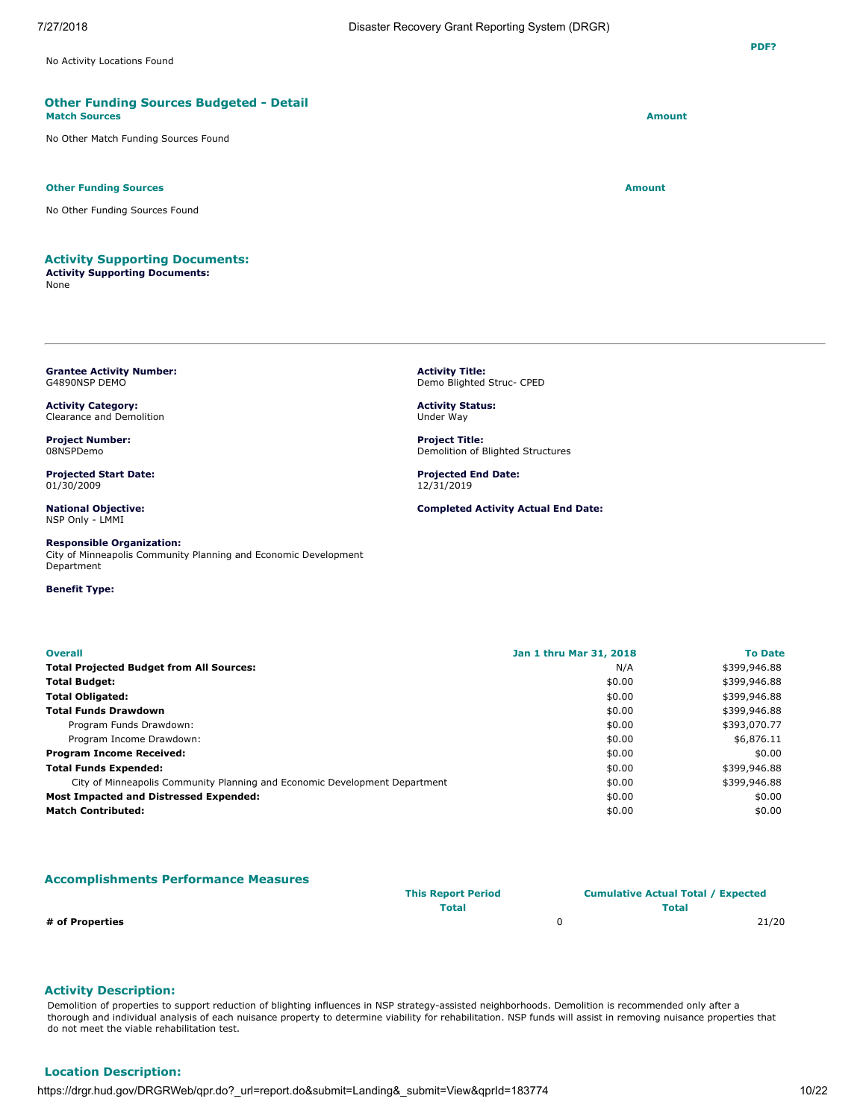No Activity Locations Found

### **Other Funding Sources Budgeted - Detail Match Sources Amount**

No Other Match Funding Sources Found

### **Other Funding Sources Amount**

No Other Funding Sources Found

### **Activity Supporting Documents:**

**Activity Supporting Documents:** None

<span id="page-9-0"></span>**Grantee Activity Number:** G4890NSP DEMO

**Activity Category:** Clearance and Demolition

**Project Number:** 08NSPDemo

**Projected Start Date:** 01/30/2009

**National Objective:** NSP Only - LMMI

### **Responsible Organization:**

City of Minneapolis Community Planning and Economic Development Department

### **Benefit Type:**

**Activity Title:** Demo Blighted Struc- CPED

**Activity Status:** Under Way

**Project Title:** Demolition of Blighted Structures

**Projected End Date:** 12/31/2019

**Completed Activity Actual End Date:**

| <b>Overall</b>                                                             | Jan 1 thru Mar 31, 2018 | <b>To Date</b> |
|----------------------------------------------------------------------------|-------------------------|----------------|
| <b>Total Projected Budget from All Sources:</b>                            | N/A                     | \$399,946.88   |
| Total Budget:                                                              | \$0.00                  | \$399,946.88   |
| Total Obligated:                                                           | \$0.00                  | \$399,946.88   |
| Total Funds Drawdown                                                       | \$0.00                  | \$399,946.88   |
| Program Funds Drawdown:                                                    | \$0.00                  | \$393,070.77   |
| Program Income Drawdown:                                                   | \$0.00                  | \$6,876.11     |
| Program Income Received:                                                   | \$0.00                  | \$0.00         |
| Total Funds Expended:                                                      | \$0.00                  | \$399,946.88   |
| City of Minneapolis Community Planning and Economic Development Department | \$0.00                  | \$399,946.88   |
| Most Impacted and Distressed Expended:                                     | \$0.00                  | \$0.00         |
| Match Contributed:                                                         | \$0.00                  | \$0.00         |
|                                                                            |                         |                |

### **Accomplishments Performance Measures**

|                 | <b>This Report Period</b> | <b>Cumulative Actual Total / Expected</b> |       |
|-----------------|---------------------------|-------------------------------------------|-------|
|                 | Total                     | <b>Total</b>                              |       |
| # of Properties |                           |                                           | 21/20 |

### **Activity Description:**

Demolition of properties to support reduction of blighting influences in NSP strategy-assisted neighborhoods. Demolition is recommended only after a thorough and individual analysis of each nuisance property to determine viability for rehabilitation. NSP funds will assist in removing nuisance properties that do not meet the viable rehabilitation test.

# **Location Description:**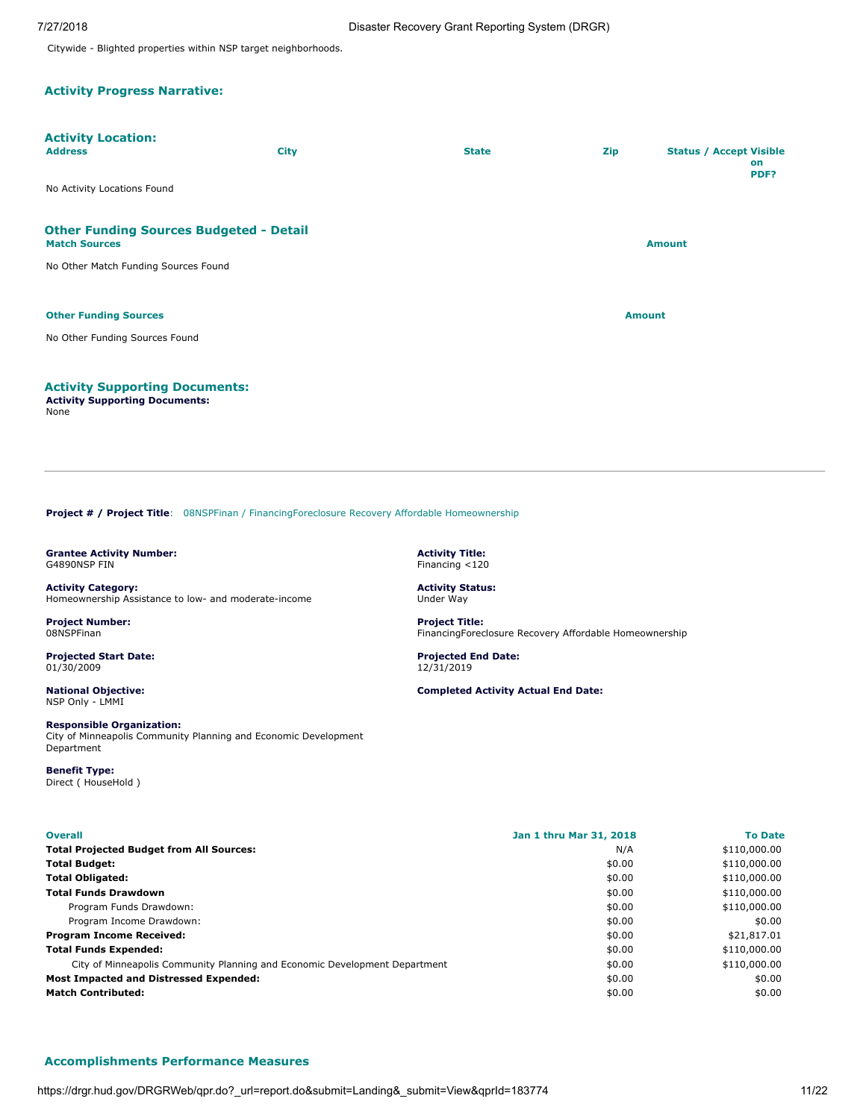Citywide - Blighted properties within NSP target neighborhoods.

# **Activity Progress Narrative:**

| <b>Activity Location:</b><br><b>Address</b>                                            | <b>City</b> | <b>State</b> | Zip           | <b>Status / Accept Visible</b><br>on<br>PDF? |
|----------------------------------------------------------------------------------------|-------------|--------------|---------------|----------------------------------------------|
| No Activity Locations Found                                                            |             |              |               |                                              |
| <b>Other Funding Sources Budgeted - Detail</b><br><b>Match Sources</b>                 |             |              |               | <b>Amount</b>                                |
| No Other Match Funding Sources Found                                                   |             |              |               |                                              |
| <b>Other Funding Sources</b>                                                           |             |              | <b>Amount</b> |                                              |
| No Other Funding Sources Found                                                         |             |              |               |                                              |
| <b>Activity Supporting Documents:</b><br><b>Activity Supporting Documents:</b><br>None |             |              |               |                                              |

<span id="page-10-0"></span>**Project # / Project Title**: 08NSPFinan / FinancingForeclosure Recovery Affordable Homeownership

<span id="page-10-1"></span>**Grantee Activity Number:** G4890NSP FIN

**Activity Category:** Homeownership Assistance to low- and moderate-income

**Project Number:** 08NSPFinan

**Projected Start Date:** 01/30/2009

**National Objective:** NSP Only - LMMI

**Responsible Organization:** City of Minneapolis Community Planning and Economic Development Department

**Benefit Type:** Direct ( HouseHold ) **Activity Title:** Financing <120

**Activity Status:** Under Way

**Project Title:** FinancingForeclosure Recovery Affordable Homeownership

**Projected End Date:** 12/31/2019

**Completed Activity Actual End Date:**

| <b>Overall</b>                                                             | Jan 1 thru Mar 31, 2018 | <b>To Date</b> |
|----------------------------------------------------------------------------|-------------------------|----------------|
| <b>Total Projected Budget from All Sources:</b>                            | N/A                     | \$110,000.00   |
| <b>Total Budget:</b>                                                       | \$0.00                  | \$110,000.00   |
| <b>Total Obligated:</b>                                                    | \$0.00                  | \$110,000.00   |
| <b>Total Funds Drawdown</b>                                                | \$0.00                  | \$110,000.00   |
| Program Funds Drawdown:                                                    | \$0.00                  | \$110,000.00   |
| Program Income Drawdown:                                                   | \$0.00                  | \$0.00         |
| <b>Program Income Received:</b>                                            | \$0.00                  | \$21,817.01    |
| <b>Total Funds Expended:</b>                                               | \$0.00                  | \$110,000.00   |
| City of Minneapolis Community Planning and Economic Development Department | \$0.00                  | \$110,000.00   |
| <b>Most Impacted and Distressed Expended:</b>                              | \$0.00                  | \$0.00         |
| <b>Match Contributed:</b>                                                  | \$0.00                  | \$0.00         |

### **Accomplishments Performance Measures**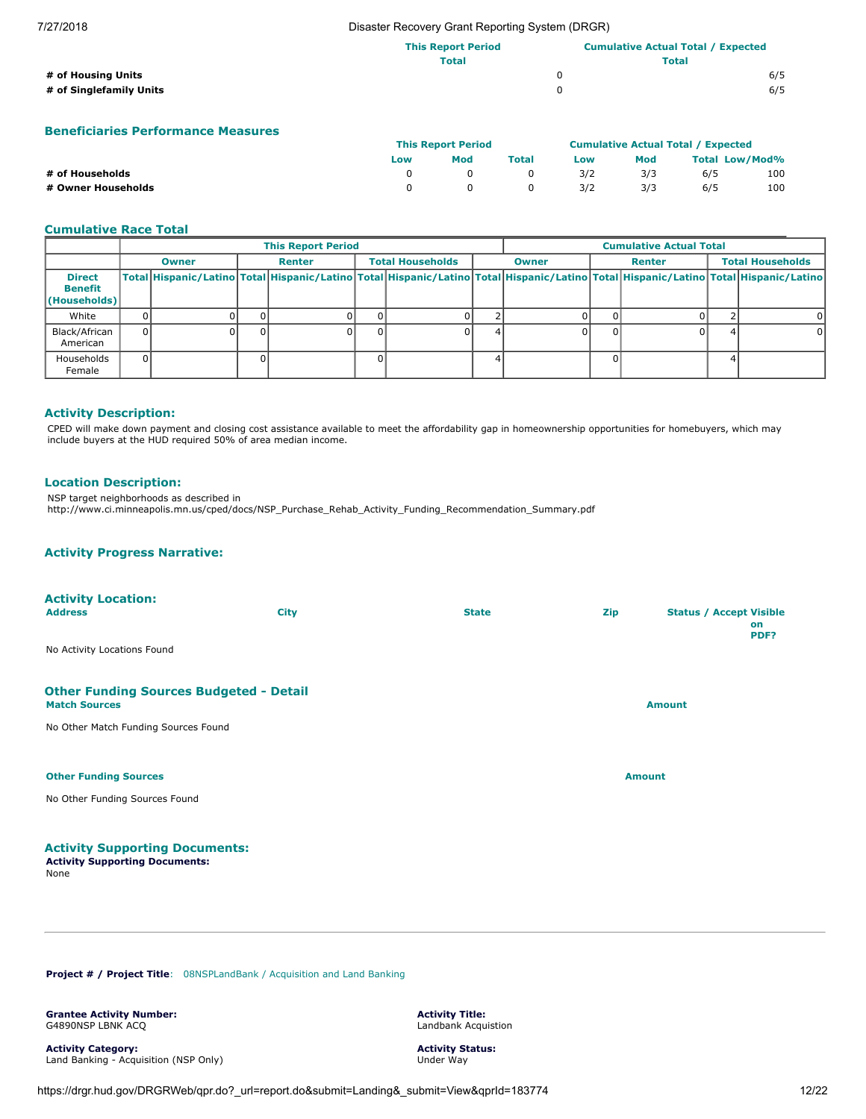### 7/27/2018 Disaster Recovery Grant Reporting System (DRGR)

|                         | <b>This Report Period</b> | <b>Cumulative Actual Total / Expected</b> |     |  |
|-------------------------|---------------------------|-------------------------------------------|-----|--|
|                         | <b>Total</b>              | <b>Total</b>                              |     |  |
| # of Housing Units      |                           |                                           | 6/5 |  |
| # of Singlefamily Units |                           |                                           | 6/5 |  |

# **Beneficiaries Performance Measures**

|                    | <b>This Report Period</b> |     |       | <b>Cumulative Actual Total / Expected</b> |     |                       |     |
|--------------------|---------------------------|-----|-------|-------------------------------------------|-----|-----------------------|-----|
|                    | Low                       | Mod | Total | Low                                       | Mod | <b>Total Low/Mod%</b> |     |
| # of Households    |                           |     |       | 3/2                                       | 3/3 | 6/5                   | 100 |
| # Owner Households |                           |     |       | 3/2                                       | 3/3 | 6/5                   | 100 |

### **Cumulative Race Total**

|                                                 | <b>This Report Period</b> |              |  |               |          |                         | <b>Cumulative Actual Total</b> |                        |  |  |  |                                                                                                                                     |  |  |  |                         |
|-------------------------------------------------|---------------------------|--------------|--|---------------|----------|-------------------------|--------------------------------|------------------------|--|--|--|-------------------------------------------------------------------------------------------------------------------------------------|--|--|--|-------------------------|
|                                                 |                           | <b>Owner</b> |  | <b>Renter</b> |          | <b>Total Households</b> |                                | Renter<br><b>Owner</b> |  |  |  |                                                                                                                                     |  |  |  | <b>Total Households</b> |
| <b>Direct</b><br><b>Benefit</b><br>(Households) |                           |              |  |               |          |                         |                                |                        |  |  |  | Total Hispanic/Latino Total Hispanic/Latino Total Hispanic/Latino Total Hispanic/Latino Total Hispanic/Latino Total Hispanic/Latino |  |  |  |                         |
| White                                           |                           |              |  |               |          |                         |                                |                        |  |  |  |                                                                                                                                     |  |  |  |                         |
| Black/African<br>American                       |                           |              |  |               | $\Omega$ |                         |                                |                        |  |  |  |                                                                                                                                     |  |  |  |                         |
| Households<br>Female                            |                           |              |  |               |          |                         |                                |                        |  |  |  |                                                                                                                                     |  |  |  |                         |

## **Activity Description:**

CPED will make down payment and closing cost assistance available to meet the affordability gap in homeownership opportunities for homebuyers, which may include buyers at the HUD required 50% of area median income.

### **Location Description:**

NSP target neighborhoods as described in

http://www.ci.minneapolis.mn.us/cped/docs/NSP\_Purchase\_Rehab\_Activity\_Funding\_Recommendation\_Summary.pdf

# **Activity Progress Narrative:**

| <b>Activity Location:</b><br><b>Address</b>                                                                     | <b>City</b> | <b>State</b>  | <b>Zip</b> | <b>Status / Accept Visible</b><br>on<br>PDF? |
|-----------------------------------------------------------------------------------------------------------------|-------------|---------------|------------|----------------------------------------------|
| No Activity Locations Found                                                                                     |             |               |            |                                              |
| <b>Other Funding Sources Budgeted - Detail</b><br><b>Match Sources</b><br>No Other Match Funding Sources Found  |             |               |            | <b>Amount</b>                                |
| <b>Other Funding Sources</b>                                                                                    |             | <b>Amount</b> |            |                                              |
| No Other Funding Sources Found                                                                                  |             |               |            |                                              |
| the second contract the second contract of the second contract of the second contract of the second contract of |             |               |            |                                              |

# **Activity Supporting Documents:**

**Activity Supporting Documents:** None

<span id="page-11-0"></span>**Project # / Project Title**: 08NSPLandBank / Acquisition and Land Banking

<span id="page-11-1"></span>**Grantee Activity Number:** G4890NSP LBNK ACQ

**Activity Category:** Land Banking - Acquisition (NSP Only) **Activity Title:** Landbank Acquistion

**Activity Status:** Under Way

https://drgr.hud.gov/DRGRWeb/qpr.do?\_url=report.do&submit=Landing&\_submit=View&qprId=183774 12/22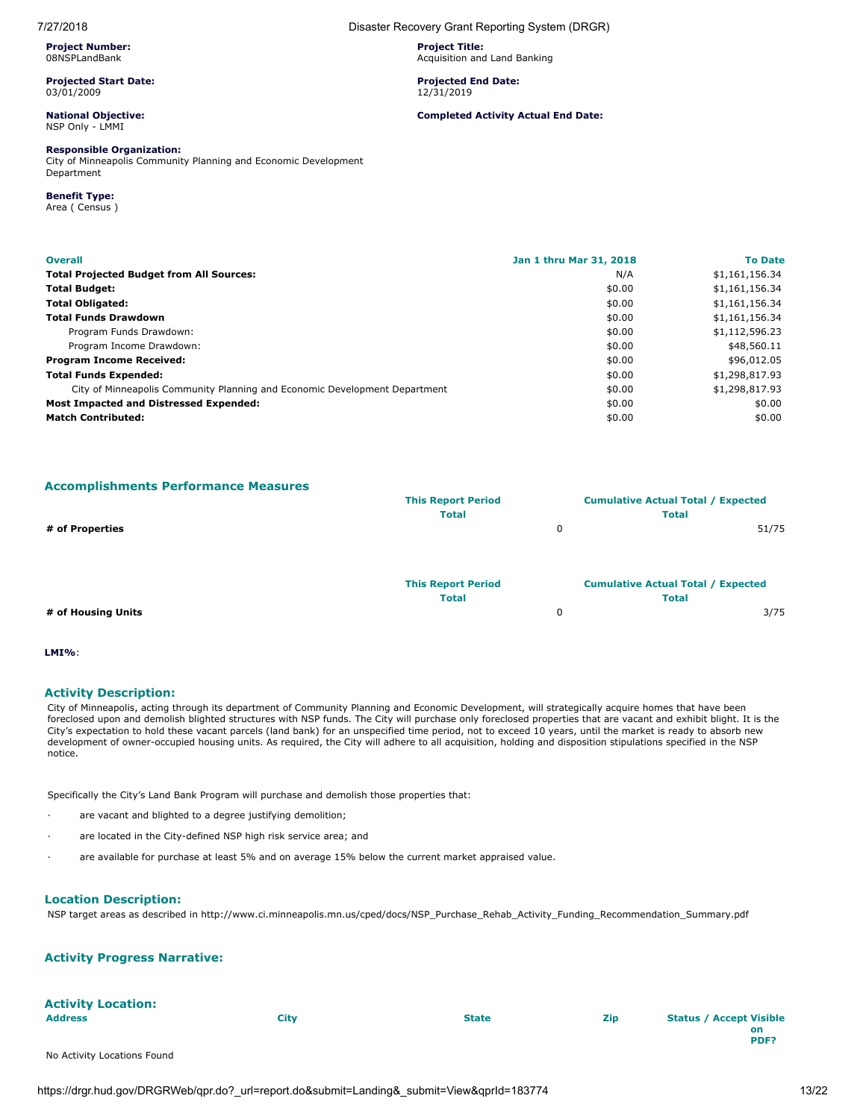**Project Number:** 08NSPLandBank

**Projected Start Date:** 03/01/2009

### **National Objective:** NSP Only - LMMI

### **Responsible Organization:**

City of Minneapolis Community Planning and Economic Development Department

# **Benefit Type:**

Area ( Census )

| <b>Overall</b>                                                             | Jan 1 thru Mar 31, 2018 | <b>To Date</b> |
|----------------------------------------------------------------------------|-------------------------|----------------|
| <b>Total Projected Budget from All Sources:</b>                            | N/A                     | \$1,161,156.34 |
| <b>Total Budget:</b>                                                       | \$0.00                  | \$1,161,156.34 |
| <b>Total Obligated:</b>                                                    | \$0.00                  | \$1,161,156.34 |
| <b>Total Funds Drawdown</b>                                                | \$0.00                  | \$1,161,156.34 |
| Program Funds Drawdown:                                                    | \$0.00                  | \$1,112,596.23 |
| Program Income Drawdown:                                                   | \$0.00                  | \$48,560.11    |
| <b>Program Income Received:</b>                                            | \$0.00                  | \$96,012.05    |
| <b>Total Funds Expended:</b>                                               | \$0.00                  | \$1,298,817.93 |
| City of Minneapolis Community Planning and Economic Development Department | \$0.00                  | \$1,298,817.93 |
| <b>Most Impacted and Distressed Expended:</b>                              | \$0.00                  | \$0.00         |
| <b>Match Contributed:</b>                                                  | \$0.00                  | \$0.00         |

### **Accomplishments Performance Measures**

|                    | <b>This Report Period</b> | <b>Cumulative Actual Total / Expected</b> |       |
|--------------------|---------------------------|-------------------------------------------|-------|
|                    | <b>Total</b>              | <b>Total</b>                              |       |
| # of Properties    |                           | 0                                         | 51/75 |
|                    |                           |                                           |       |
|                    |                           |                                           |       |
|                    | <b>This Report Period</b> | <b>Cumulative Actual Total / Expected</b> |       |
|                    | <b>Total</b>              | <b>Total</b>                              |       |
| # of Housing Units |                           | 0                                         | 3/75  |

### **LMI%**:

### **Activity Description:**

City of Minneapolis, acting through its department of Community Planning and Economic Development, will strategically acquire homes that have been foreclosed upon and demolish blighted structures with NSP funds. The City will purchase only foreclosed properties that are vacant and exhibit blight. It is the City's expectation to hold these vacant parcels (land bank) for an unspecified time period, not to exceed 10 years, until the market is ready to absorb new development of owner-occupied housing units. As required, the City will adhere to all acquisition, holding and disposition stipulations specified in the NSP notice.

Specifically the City's Land Bank Program will purchase and demolish those properties that:

- are vacant and blighted to a degree justifying demolition;
- are located in the City-defined NSP high risk service area; and
- · are available for purchase at least 5% and on average 15% below the current market appraised value.

### **Location Description:**

NSP target areas as described in http://www.ci.minneapolis.mn.us/cped/docs/NSP\_Purchase\_Rehab\_Activity\_Funding\_Recommendation\_Summary.pdf

### **Activity Progress Narrative:**

| <b>Activity Location:</b><br><b>Address</b> | City | <b>State</b> | Zip | <b>Status / Accept Visible</b> |
|---------------------------------------------|------|--------------|-----|--------------------------------|
|                                             |      |              |     |                                |
|                                             |      |              |     | on                             |
|                                             |      |              |     | PDF?                           |
| No Activity Locations Found                 |      |              |     |                                |

### 7/27/2018 Disaster Recovery Grant Reporting System (DRGR)

**Project Title:** Acquisition and Land Banking

### **Projected End Date:** 12/31/2019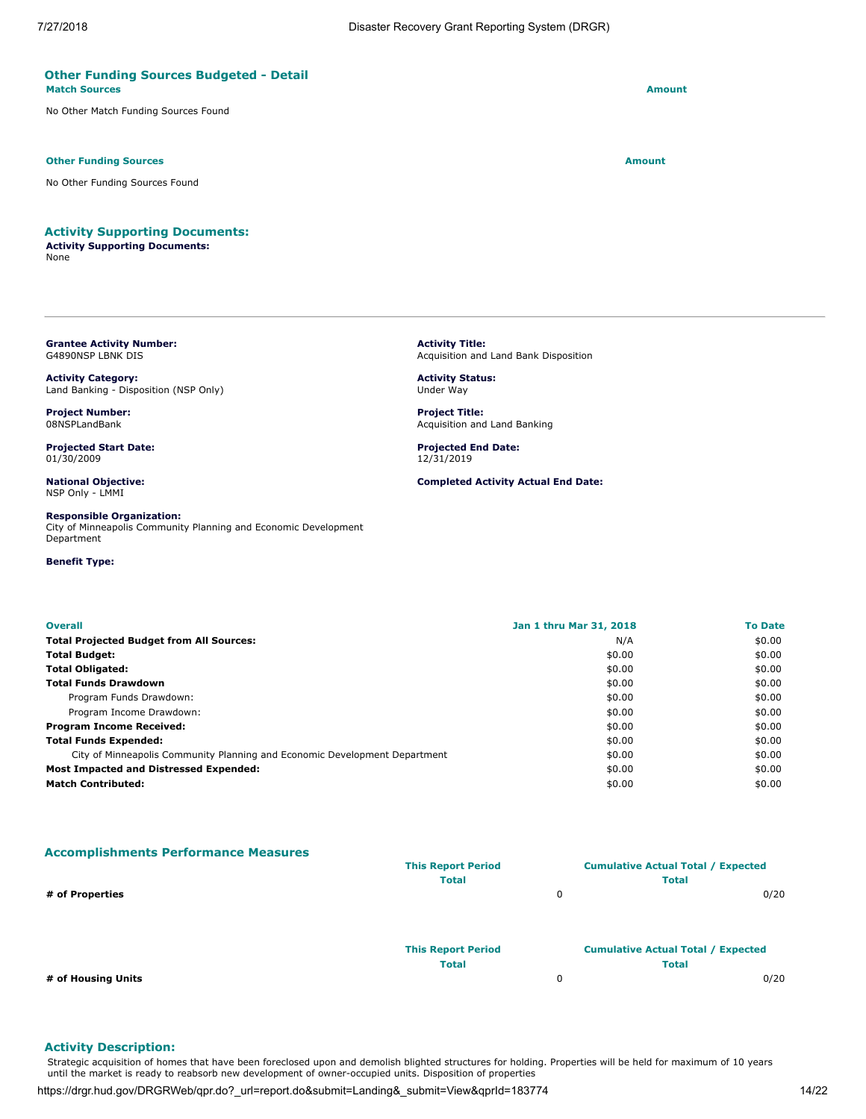### **Other Funding Sources Budgeted - Detail Match Sources Amount**

No Other Match Funding Sources Found

### **Other Funding Sources Amount Amount Amount Amount Amount Amount Amount**

No Other Funding Sources Found

# **Activity Supporting Documents:**

**Activity Supporting Documents:** None

<span id="page-13-0"></span>**Grantee Activity Number:** G4890NSP LBNK DIS

**Activity Category:** Land Banking - Disposition (NSP Only)

**Project Number:** 08NSPLandBank

**Projected Start Date:** 01/30/2009

**National Objective:** NSP Only - LMMI

**Responsible Organization:** City of Minneapolis Community Planning and Economic Development Department

**Benefit Type:**

**Activity Title:** Acquisition and Land Bank Disposition

**Activity Status:** Under Way

**Project Title:** Acquisition and Land Banking

**Projected End Date:** 12/31/2019

**Completed Activity Actual End Date:**

| <b>Overall</b>                                                             | Jan 1 thru Mar 31, 2018 | <b>To Date</b> |
|----------------------------------------------------------------------------|-------------------------|----------------|
| <b>Total Projected Budget from All Sources:</b>                            | N/A                     | \$0.00         |
| <b>Total Budget:</b>                                                       | \$0.00                  | \$0.00         |
| <b>Total Obligated:</b>                                                    | \$0.00                  | \$0.00         |
| <b>Total Funds Drawdown</b>                                                | \$0.00                  | \$0.00         |
| Program Funds Drawdown:                                                    | \$0.00                  | \$0.00         |
| Program Income Drawdown:                                                   | \$0.00                  | \$0.00         |
| <b>Program Income Received:</b>                                            | \$0.00                  | \$0.00         |
| <b>Total Funds Expended:</b>                                               | \$0.00                  | \$0.00         |
| City of Minneapolis Community Planning and Economic Development Department | \$0.00                  | \$0.00         |
| Most Impacted and Distressed Expended:                                     | \$0.00                  | \$0.00         |
| <b>Match Contributed:</b>                                                  | \$0.00                  | \$0.00         |

**Accomplishments Performance Measures**

|                    | <b>This Report Period</b> |   | <b>Cumulative Actual Total / Expected</b> |  |
|--------------------|---------------------------|---|-------------------------------------------|--|
|                    | <b>Total</b>              |   | <b>Total</b>                              |  |
| # of Properties    |                           | 0 | 0/20                                      |  |
|                    |                           |   |                                           |  |
|                    | <b>This Report Period</b> |   | <b>Cumulative Actual Total / Expected</b> |  |
|                    | <b>Total</b>              |   | <b>Total</b>                              |  |
| # of Housing Units |                           | 0 | 0/20                                      |  |

### **Activity Description:**

Strategic acquisition of homes that have been foreclosed upon and demolish blighted structures for holding. Properties will be held for maximum of 10 years until the market is ready to reabsorb new development of owner-occupied units. Disposition of properties

https://drgr.hud.gov/DRGRWeb/qpr.do?\_url=report.do&submit=Landing&\_submit=View&qprId=183774 14/22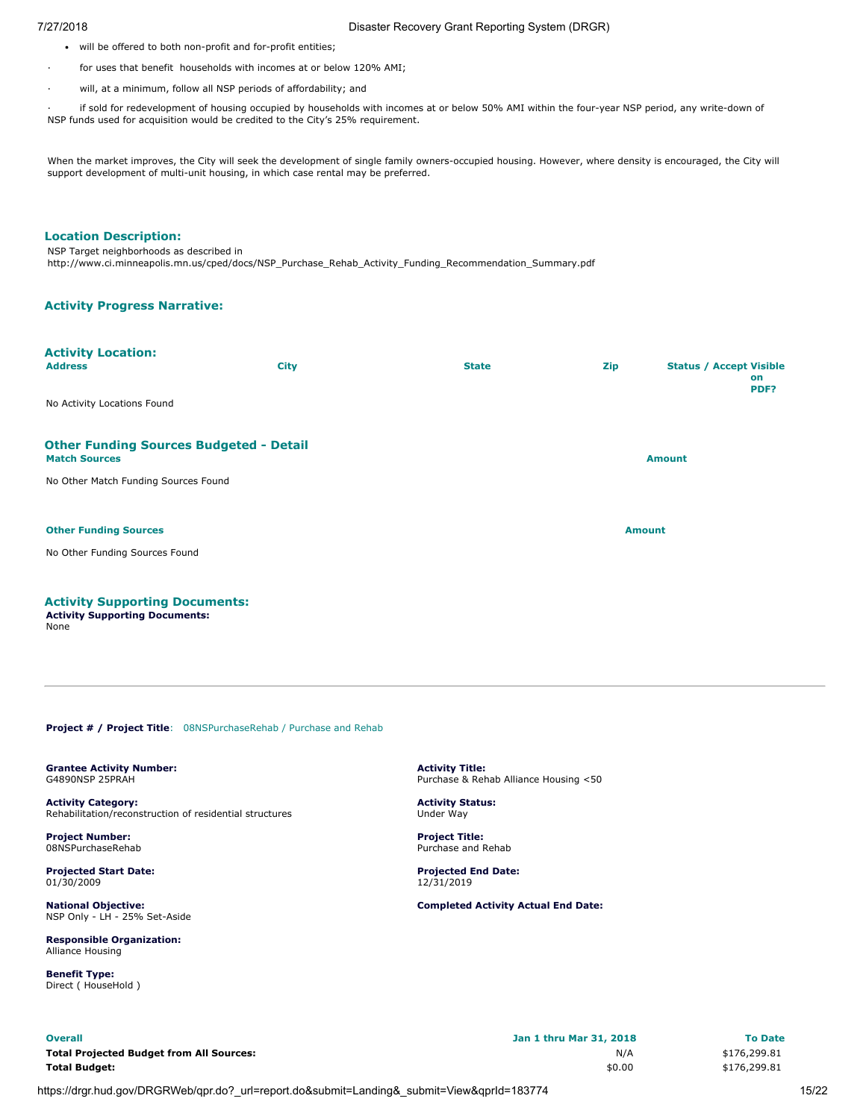- will be offered to both non-profit and for-profit entities;
- for uses that benefit households with incomes at or below 120% AMI;
- will, at a minimum, follow all NSP periods of affordability; and

· if sold for redevelopment of housing occupied by households with incomes at or below 50% AMI within the four-year NSP period, any write-down of NSP funds used for acquisition would be credited to the City's 25% requirement.

When the market improves, the City will seek the development of single family owners-occupied housing. However, where density is encouraged, the City will support development of multi-unit housing, in which case rental may be preferred.

# **Location Description:**

NSP Target neighborhoods as described in http://www.ci.minneapolis.mn.us/cped/docs/NSP\_Purchase\_Rehab\_Activity\_Funding\_Recommendation\_Summary.pdf

### **Activity Progress Narrative:**

| <b>Activity Location:</b><br><b>Address</b>                                    | <b>City</b> | <b>State</b>  | Zip | <b>Status / Accept Visible</b><br>on<br>PDF? |
|--------------------------------------------------------------------------------|-------------|---------------|-----|----------------------------------------------|
| No Activity Locations Found                                                    |             |               |     |                                              |
| <b>Other Funding Sources Budgeted - Detail</b><br><b>Match Sources</b>         |             | <b>Amount</b> |     |                                              |
| No Other Match Funding Sources Found                                           |             |               |     |                                              |
| <b>Other Funding Sources</b>                                                   |             |               |     | <b>Amount</b>                                |
| No Other Funding Sources Found                                                 |             |               |     |                                              |
| <b>Activity Supporting Documents:</b><br><b>Activity Supporting Documents:</b> |             |               |     |                                              |

None

<span id="page-14-0"></span>**Project # / Project Title:** 08NSPurchaseRehab / Purchase and Rehab

<span id="page-14-1"></span>**Grantee Activity Number:** G4890NSP 25PRAH

**Activity Category:** Rehabilitation/reconstruction of residential structures

**Project Number:** 08NSPurchaseRehab

**Projected Start Date:** 01/30/2009

**National Objective:** NSP Only - LH - 25% Set-Aside

**Responsible Organization:** Alliance Housing

**Benefit Type:** Direct ( HouseHold )

**Activity Title:** Purchase & Rehab Alliance Housing <50

**Activity Status:** Under Way

**Project Title:** Purchase and Rehab

**Projected End Date:** 12/31/2019

| <b>Overall</b>                                  | Jan 1 thru Mar 31, 2018 | <b>To Date</b> |
|-------------------------------------------------|-------------------------|----------------|
| <b>Total Projected Budget from All Sources:</b> | N/A                     | \$176,299.81   |
| <b>Total Budget:</b>                            | \$0.00                  | \$176,299.81   |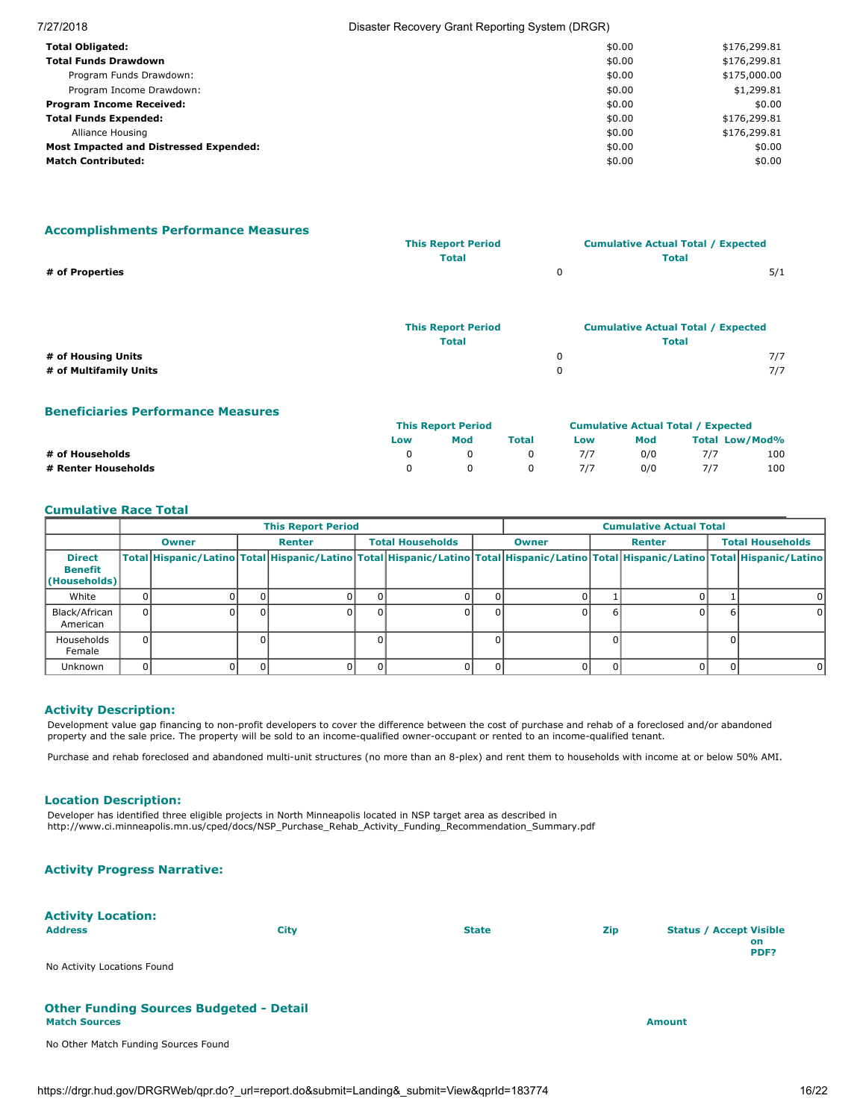| 7/27/2018                              | Disaster Recovery Grant Reporting System (DRGR) |              |  |  |  |
|----------------------------------------|-------------------------------------------------|--------------|--|--|--|
| <b>Total Obligated:</b>                | \$0.00                                          | \$176,299.81 |  |  |  |
| <b>Total Funds Drawdown</b>            | \$0.00                                          | \$176,299.81 |  |  |  |
| Program Funds Drawdown:                | \$0.00                                          | \$175,000.00 |  |  |  |
| Program Income Drawdown:               | \$0.00                                          | \$1,299.81   |  |  |  |
| <b>Program Income Received:</b>        | \$0.00                                          | \$0.00       |  |  |  |
| <b>Total Funds Expended:</b>           | \$0.00                                          | \$176,299.81 |  |  |  |
| Alliance Housing                       | \$0.00                                          | \$176,299.81 |  |  |  |
| Most Impacted and Distressed Expended: | \$0.00                                          | \$0.00       |  |  |  |
| <b>Match Contributed:</b>              | \$0.00                                          | \$0.00       |  |  |  |

# **Accomplishments Performance Measures**

|                    | <b>This Report Period</b> | <b>Cumulative Actual Total / Expected</b> |                                           |     |
|--------------------|---------------------------|-------------------------------------------|-------------------------------------------|-----|
|                    | <b>Total</b>              |                                           | <b>Total</b>                              |     |
| # of Properties    |                           | $\mathbf 0$                               |                                           | 5/1 |
|                    | <b>This Report Period</b> |                                           | <b>Cumulative Actual Total / Expected</b> |     |
|                    | <b>Total</b>              |                                           | <b>Total</b>                              |     |
| # of Housing Units |                           |                                           |                                           | 7/7 |

**# of Multifamily Units** 0 7/7

| <b>Beneficiaries Performance Measures</b> |                           |                                           |       |     |     |                       |     |
|-------------------------------------------|---------------------------|-------------------------------------------|-------|-----|-----|-----------------------|-----|
|                                           | <b>This Report Period</b> | <b>Cumulative Actual Total / Expected</b> |       |     |     |                       |     |
|                                           | Low                       | Mod                                       | Total | Low | Mod | <b>Total Low/Mod%</b> |     |
| # of Households                           |                           |                                           |       | 7/7 | 0/0 | 7/7                   | 100 |
| # Renter Households                       |                           |                                           |       |     | 0/0 | 7/7                   | 100 |

# **Cumulative Race Total**

|                                                 |              |              | <b>This Report Period</b> |  |                         | <b>Cumulative Actual Total</b> |  |  |  |  |                                                                                                                                                                                     |  |        |                         |  |
|-------------------------------------------------|--------------|--------------|---------------------------|--|-------------------------|--------------------------------|--|--|--|--|-------------------------------------------------------------------------------------------------------------------------------------------------------------------------------------|--|--------|-------------------------|--|
|                                                 |              | <b>Owner</b> | Renter                    |  | <b>Total Households</b> | <b>Owner</b>                   |  |  |  |  |                                                                                                                                                                                     |  | Renter | <b>Total Households</b> |  |
| <b>Direct</b><br><b>Benefit</b><br>(Households) |              |              |                           |  |                         |                                |  |  |  |  | Total   Hispanic/Latino   Total   Hispanic/Latino   Total   Hispanic/Latino   Total   Hispanic/Latino   Total   Hispanic/Latino   Total   Hispanic/Latino   Total   Hispanic/Latino |  |        |                         |  |
| White                                           |              |              |                           |  |                         |                                |  |  |  |  |                                                                                                                                                                                     |  |        |                         |  |
| Black/African<br>American                       | $\Omega$     |              |                           |  |                         |                                |  |  |  |  | 0                                                                                                                                                                                   |  |        |                         |  |
| Households<br>Female                            | <sup>0</sup> |              |                           |  |                         |                                |  |  |  |  |                                                                                                                                                                                     |  |        |                         |  |
| <b>Unknown</b>                                  |              |              |                           |  |                         |                                |  |  |  |  | <sup>n</sup>                                                                                                                                                                        |  |        |                         |  |

### **Activity Description:**

Development value gap financing to non-profit developers to cover the difference between the cost of purchase and rehab of a foreclosed and/or abandoned property and the sale price. The property will be sold to an income-qualified owner-occupant or rented to an income-qualified tenant.

Purchase and rehab foreclosed and abandoned multi-unit structures (no more than an 8-plex) and rent them to households with income at or below 50% AMI.

### **Location Description:**

Developer has identified three eligible projects in North Minneapolis located in NSP target area as described in http://www.ci.minneapolis.mn.us/cped/docs/NSP\_Purchase\_Rehab\_Activity\_Funding\_Recommendation\_Summary.pdf

# **Activity Progress Narrative:**

| <b>Activity Location:</b><br><b>Address</b><br>No Activity Locations Found | <b>City</b> | <b>State</b> | Zip | <b>Status / Accept Visible</b><br>on<br>PDF? |
|----------------------------------------------------------------------------|-------------|--------------|-----|----------------------------------------------|
| <b>Other Funding Sources Budgeted - Detail</b><br><b>Match Sources</b>     |             |              |     | <b>Amount</b>                                |
| No Other Match Funding Sources Found                                       |             |              |     |                                              |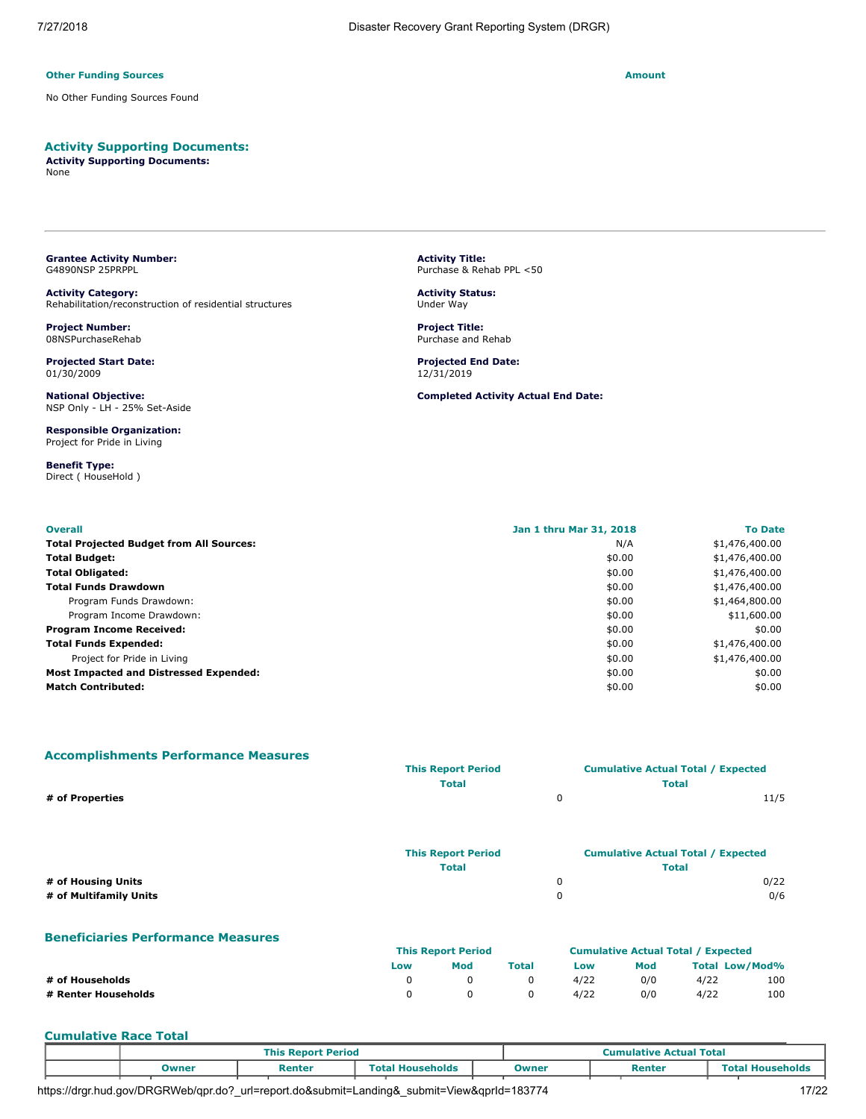### **Other Funding Sources Amount Amount Amount Amount Amount Amount Amount**

No Other Funding Sources Found

# **Activity Supporting Documents:**

**Activity Supporting Documents:** None

<span id="page-16-0"></span>**Grantee Activity Number:** G4890NSP 25PRPPL

**Activity Category:** Rehabilitation/reconstruction of residential structures

**Project Number:** 08NSPurchaseRehab

**Projected Start Date:** 01/30/2009

**National Objective:** NSP Only - LH - 25% Set-Aside

**Responsible Organization:** Project for Pride in Living

**Benefit Type:** Direct ( HouseHold ) **Activity Title:** Purchase & Rehab PPL <50

**Activity Status:** Under Way

**Project Title:** Purchase and Rehab

**Projected End Date:** 12/31/2019

**Completed Activity Actual End Date:**

| <b>Overall</b>                                  | Jan 1 thru Mar 31, 2018 | <b>To Date</b> |
|-------------------------------------------------|-------------------------|----------------|
| <b>Total Projected Budget from All Sources:</b> | N/A                     | \$1,476,400.00 |
| <b>Total Budget:</b>                            | \$0.00                  | \$1,476,400.00 |
| <b>Total Obligated:</b>                         | \$0.00                  | \$1,476,400.00 |
| <b>Total Funds Drawdown</b>                     | \$0.00                  | \$1,476,400.00 |
| Program Funds Drawdown:                         | \$0.00                  | \$1,464,800.00 |
| Program Income Drawdown:                        | \$0.00                  | \$11,600.00    |
| <b>Program Income Received:</b>                 | \$0.00                  | \$0.00         |
| <b>Total Funds Expended:</b>                    | \$0.00                  | \$1,476,400.00 |
| Project for Pride in Living                     | \$0.00                  | \$1,476,400.00 |
| Most Impacted and Distressed Expended:          | \$0.00                  | \$0.00         |
| <b>Match Contributed:</b>                       | \$0.00                  | \$0.00         |

### **Accomplishments Performance Measures**

|                        | <b>This Report Period</b> | <b>Cumulative Actual Total / Expected</b> |
|------------------------|---------------------------|-------------------------------------------|
|                        | <b>Total</b>              | <b>Total</b>                              |
| # of Properties        | 0                         | 11/5                                      |
|                        |                           |                                           |
|                        | <b>This Report Period</b> | <b>Cumulative Actual Total / Expected</b> |
|                        | <b>Total</b>              | <b>Total</b>                              |
| # of Housing Units     | 0                         | 0/22                                      |
| # of Multifamily Units | 0                         | 0/6                                       |

### **Beneficiaries Performance Measures**

|                     | <b>This Report Period</b> |     |              | <b>Cumulative Actual Total / Expected</b> |     |                       |     |
|---------------------|---------------------------|-----|--------------|-------------------------------------------|-----|-----------------------|-----|
|                     | Low                       | Mod | <b>Total</b> | Low                                       | Mod | <b>Total Low/Mod%</b> |     |
| # of Households     |                           |     |              | 4/22                                      | 0/0 | 4/22                  | 100 |
| # Renter Households |                           |     |              | 4/22                                      | 0/0 | 4/22                  | 100 |

### **Cumulative Race Total**

|  |       | <b>This Report Period</b> |  |                         |  | <b>Cumulative Actual Total</b> |  |        |  |                         |
|--|-------|---------------------------|--|-------------------------|--|--------------------------------|--|--------|--|-------------------------|
|  | Owner | Renter                    |  | <b>Total Households</b> |  | Owner                          |  | Renter |  | <b>Total Households</b> |
|  |       |                           |  |                         |  |                                |  |        |  |                         |

https://drgr.hud.gov/DRGRWeb/qpr.do?\_url=report.do&submit=Landing&\_submit=View&qprId=183774 17/22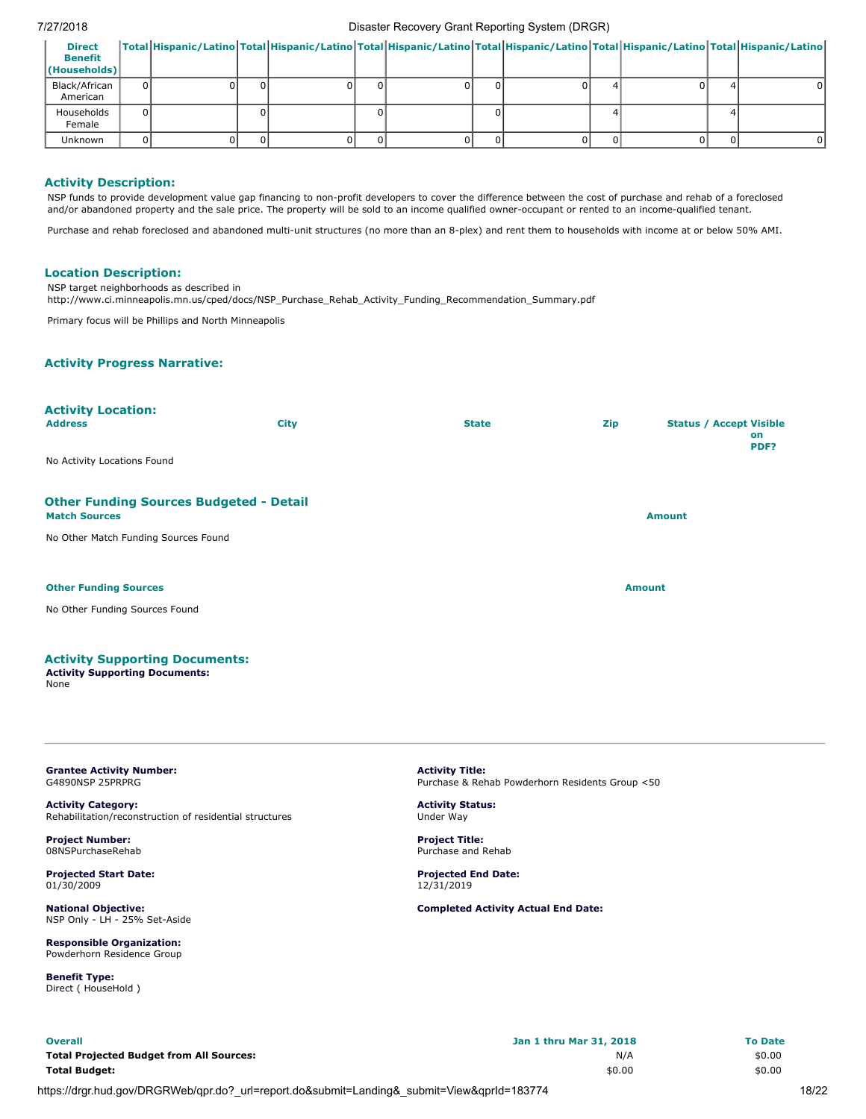### 7/27/2018 Disaster Recovery Grant Reporting System (DRGR)

| <b>Direct</b><br><b>Benefit</b><br>$ $ (Households) |  |  |    |  |  |  | Total Hispanic/Latino Total Hispanic/Latino Total Hispanic/Latino Total Hispanic/Latino Total Hispanic/Latino Total Hispanic/Latino |
|-----------------------------------------------------|--|--|----|--|--|--|-------------------------------------------------------------------------------------------------------------------------------------|
| Black/African<br>American                           |  |  | 01 |  |  |  |                                                                                                                                     |
| Households<br>Female                                |  |  |    |  |  |  |                                                                                                                                     |
| <b>Unknown</b>                                      |  |  |    |  |  |  |                                                                                                                                     |

### **Activity Description:**

NSP funds to provide development value gap financing to non-profit developers to cover the difference between the cost of purchase and rehab of a foreclosed and/or abandoned property and the sale price. The property will be sold to an income qualified owner-occupant or rented to an income-qualified tenant.

Purchase and rehab foreclosed and abandoned multi-unit structures (no more than an 8-plex) and rent them to households with income at or below 50% AMI.

### **Location Description:**

NSP target neighborhoods as described in

http://www.ci.minneapolis.mn.us/cped/docs/NSP\_Purchase\_Rehab\_Activity\_Funding\_Recommendation\_Summary.pdf

Primary focus will be Phillips and North Minneapolis

# **Activity Progress Narrative:**

| <b>Activity Location:</b><br><b>Address</b>                            | <b>City</b> | <b>State</b> | Zip | <b>Status / Accept Visible</b><br>on<br>PDF? |
|------------------------------------------------------------------------|-------------|--------------|-----|----------------------------------------------|
| No Activity Locations Found                                            |             |              |     |                                              |
| <b>Other Funding Sources Budgeted - Detail</b><br><b>Match Sources</b> |             |              |     | <b>Amount</b>                                |
| No Other Match Funding Sources Found                                   |             |              |     |                                              |
| <b>Other Funding Sources</b><br>No Other Funding Sources Found         |             |              |     | <b>Amount</b>                                |
|                                                                        |             |              |     |                                              |
| Activity Cunnorting Decumentar                                         |             |              |     |                                              |

### **Activity Supporting Documents:**

**Activity Supporting Documents:** None

### <span id="page-17-0"></span>**Grantee Activity Number:** G4890NSP 25PRPRG

**Activity Category:** Rehabilitation/reconstruction of residential structures

**Project Number:** 08NSPurchaseRehab

**Projected Start Date:** 01/30/2009

**National Objective:** NSP Only - LH - 25% Set-Aside

**Responsible Organization:** Powderhorn Residence Group

**Benefit Type:** Direct ( HouseHold ) **Activity Title:** Purchase & Rehab Powderhorn Residents Group <50

**Activity Status:** Under Way

**Project Title:** Purchase and Rehab

**Projected End Date:** 12/31/2019

| <b>Overall</b>                                  | Jan 1 thru Mar 31, 2018 | <b>To Date</b> |
|-------------------------------------------------|-------------------------|----------------|
| <b>Total Projected Budget from All Sources:</b> | N/A                     | \$0.00         |
| <b>Total Budget:</b>                            | \$0.00                  | \$0.00         |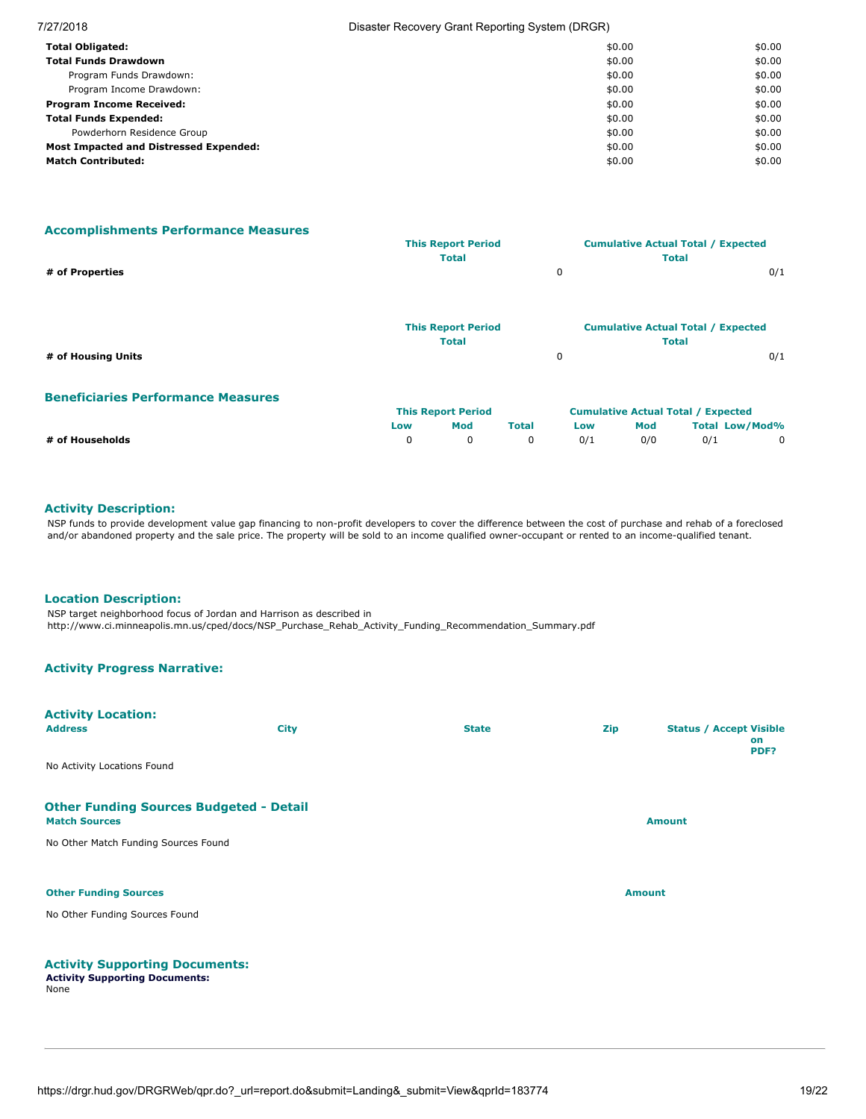| 7/27/2018                                     | Disaster Recovery Grant Reporting System (DRGR) |        |  |  |
|-----------------------------------------------|-------------------------------------------------|--------|--|--|
| <b>Total Obligated:</b>                       | \$0.00                                          | \$0.00 |  |  |
| <b>Total Funds Drawdown</b>                   | \$0.00                                          | \$0.00 |  |  |
| Program Funds Drawdown:                       | \$0.00                                          | \$0.00 |  |  |
| Program Income Drawdown:                      | \$0.00                                          | \$0.00 |  |  |
| <b>Program Income Received:</b>               | \$0.00                                          | \$0.00 |  |  |
| <b>Total Funds Expended:</b>                  | \$0.00                                          | \$0.00 |  |  |
| Powderhorn Residence Group                    | \$0.00                                          | \$0.00 |  |  |
| <b>Most Impacted and Distressed Expended:</b> | \$0.00                                          | \$0.00 |  |  |
| <b>Match Contributed:</b>                     | \$0.00                                          | \$0.00 |  |  |

**Accomplishments Performance Measures**

|                    | <b>This Report Period</b> |   | <b>Cumulative Actual Total / Expected</b> |     |
|--------------------|---------------------------|---|-------------------------------------------|-----|
|                    | <b>Total</b>              |   | <b>Total</b>                              |     |
| # of Properties    |                           | 0 |                                           | 0/1 |
|                    |                           |   |                                           |     |
|                    |                           |   |                                           |     |
|                    | <b>This Report Period</b> |   | <b>Cumulative Actual Total / Expected</b> |     |
|                    | <b>Total</b>              |   | <b>Total</b>                              |     |
| # of Housing Units |                           | 0 |                                           | 0/1 |

**Beneficiaries Performance Measures**

|                 |     | <b>This Report Period</b> |       |     |     | <b>Cumulative Actual Total / Expected</b> |  |
|-----------------|-----|---------------------------|-------|-----|-----|-------------------------------------------|--|
|                 | Low | Mod                       | Total | Low | Mod | Total Low/Mod%                            |  |
| # of Households |     |                           |       | 0/1 | 0/0 | 0/1                                       |  |

# **Activity Description:**

NSP funds to provide development value gap financing to non-profit developers to cover the difference between the cost of purchase and rehab of a foreclosed and/or abandoned property and the sale price. The property will be sold to an income qualified owner-occupant or rented to an income-qualified tenant.

# **Location Description:**

NSP target neighborhood focus of Jordan and Harrison as described in http://www.ci.minneapolis.mn.us/cped/docs/NSP\_Purchase\_Rehab\_Activity\_Funding\_Recommendation\_Summary.pdf

# **Activity Progress Narrative:**

| <b>Activity Location:</b><br><b>Address</b>                            | <b>City</b> | <b>State</b> | <b>Zip</b>    | <b>Status / Accept Visible</b><br>on<br>PDF? |
|------------------------------------------------------------------------|-------------|--------------|---------------|----------------------------------------------|
| No Activity Locations Found                                            |             |              |               |                                              |
| <b>Other Funding Sources Budgeted - Detail</b><br><b>Match Sources</b> |             |              |               | <b>Amount</b>                                |
| No Other Match Funding Sources Found                                   |             |              |               |                                              |
| <b>Other Funding Sources</b>                                           |             |              | <b>Amount</b> |                                              |
| No Other Funding Sources Found                                         |             |              |               |                                              |
| <b>Activity Supporting Documents:</b>                                  |             |              |               |                                              |

<span id="page-18-0"></span>**Activity Supporting Documents:** None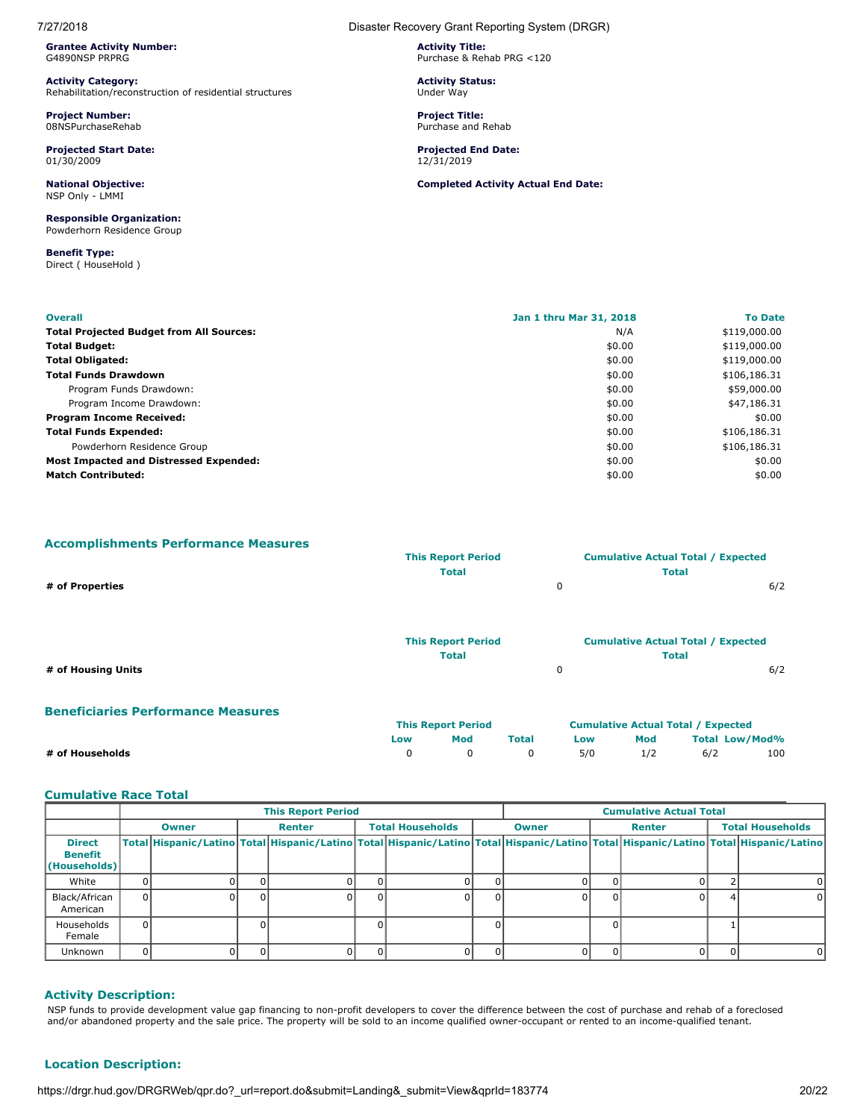**Grantee Activity Number:** G4890NSP PRPRG

**Activity Category:** Rehabilitation/reconstruction of residential structures

**Project Number:** 08NSPurchaseRehab

**Projected Start Date:** 01/30/2009

**National Objective:** NSP Only - LMMI

**Responsible Organization:** Powderhorn Residence Group

**Benefit Type:** Direct ( HouseHold )

7/27/2018 Disaster Recovery Grant Reporting System (DRGR)

**Activity Title:** Purchase & Rehab PRG <120

**Activity Status:** Under Way

**Project Title:** Purchase and Rehab

**Projected End Date:** 12/31/2019

**Completed Activity Actual End Date:**

| <b>Overall</b>                                  | Jan 1 thru Mar 31, 2018 | <b>To Date</b> |
|-------------------------------------------------|-------------------------|----------------|
| <b>Total Projected Budget from All Sources:</b> | N/A                     | \$119,000.00   |
| <b>Total Budget:</b>                            | \$0.00                  | \$119,000.00   |
| <b>Total Obligated:</b>                         | \$0.00                  | \$119,000.00   |
| <b>Total Funds Drawdown</b>                     | \$0.00                  | \$106,186.31   |
| Program Funds Drawdown:                         | \$0.00                  | \$59,000.00    |
| Program Income Drawdown:                        | \$0.00                  | \$47,186.31    |
| <b>Program Income Received:</b>                 | \$0.00                  | \$0.00         |
| <b>Total Funds Expended:</b>                    | \$0.00                  | \$106,186.31   |
| Powderhorn Residence Group                      | \$0.00                  | \$106,186.31   |
| Most Impacted and Distressed Expended:          | \$0.00                  | \$0.00         |
| <b>Match Contributed:</b>                       | \$0.00                  | \$0.00         |

**Accomplishments Performance Measures**

|                                           |             | <b>This Report Period</b>                 |              |     |     | <b>Cumulative Actual Total / Expected</b>                 |     |
|-------------------------------------------|-------------|-------------------------------------------|--------------|-----|-----|-----------------------------------------------------------|-----|
|                                           |             | <b>Total</b>                              |              |     |     | <b>Total</b>                                              |     |
| # of Properties                           |             |                                           |              | 0   |     |                                                           | 6/2 |
|                                           |             | <b>This Report Period</b><br><b>Total</b> |              |     |     | <b>Cumulative Actual Total / Expected</b><br><b>Total</b> |     |
| # of Housing Units                        |             |                                           |              | 0   |     |                                                           | 6/2 |
| <b>Beneficiaries Performance Measures</b> |             |                                           |              |     |     |                                                           |     |
|                                           |             | <b>This Report Period</b>                 |              |     |     | <b>Cumulative Actual Total / Expected</b>                 |     |
|                                           | Low         | Mod                                       | <b>Total</b> | Low | Mod | <b>Total Low/Mod%</b>                                     |     |
| # of Households                           | $\mathbf 0$ | 0                                         | 0            | 5/0 | 1/2 | 6/2                                                       | 100 |

### **Cumulative Race Total**

|                                                 | <b>This Report Period</b> |              |  |        |    | <b>Cumulative Actual Total</b> |  |              |  |        |  |                                                                                                                                                                                     |
|-------------------------------------------------|---------------------------|--------------|--|--------|----|--------------------------------|--|--------------|--|--------|--|-------------------------------------------------------------------------------------------------------------------------------------------------------------------------------------|
|                                                 |                           | <b>Owner</b> |  | Renter |    | <b>Total Households</b>        |  | <b>Owner</b> |  | Renter |  | <b>Total Households</b>                                                                                                                                                             |
| <b>Direct</b><br><b>Benefit</b><br>(Households) |                           |              |  |        |    |                                |  |              |  |        |  | Total   Hispanic/Latino   Total   Hispanic/Latino   Total   Hispanic/Latino   Total   Hispanic/Latino   Total   Hispanic/Latino   Total   Hispanic/Latino   Total   Hispanic/Latino |
| White                                           |                           |              |  |        |    |                                |  |              |  |        |  |                                                                                                                                                                                     |
| Black/African<br>American                       | $\overline{0}$            |              |  |        | 01 |                                |  |              |  |        |  | 0                                                                                                                                                                                   |
| Households<br>Female                            | $\Omega$                  |              |  |        |    |                                |  |              |  |        |  |                                                                                                                                                                                     |
| <b>Unknown</b>                                  |                           |              |  |        |    |                                |  |              |  |        |  | 0                                                                                                                                                                                   |

### **Activity Description:**

NSP funds to provide development value gap financing to non-profit developers to cover the difference between the cost of purchase and rehab of a foreclosed and/or abandoned property and the sale price. The property will be sold to an income qualified owner-occupant or rented to an income-qualified tenant.

# **Location Description:**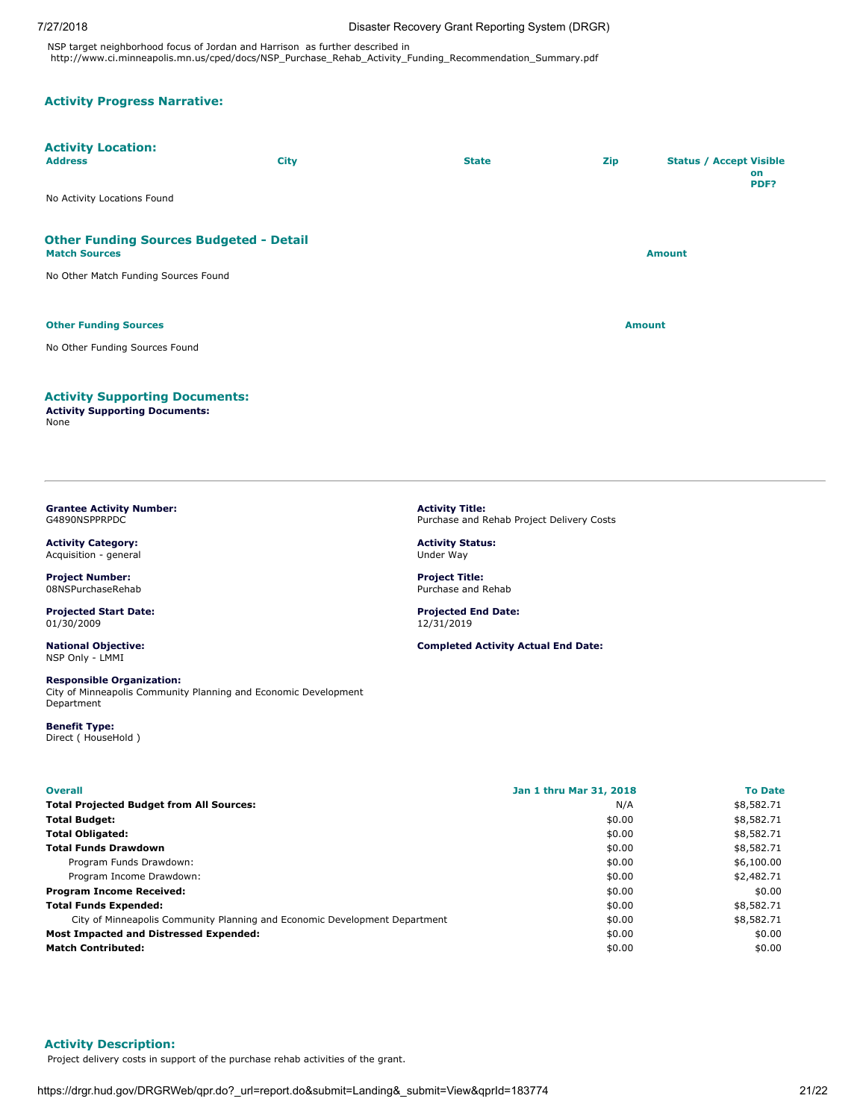NSP target neighborhood focus of Jordan and Harrison as further described in http://www.ci.minneapolis.mn.us/cped/docs/NSP\_Purchase\_Rehab\_Activity\_Funding\_Recommendation\_Summary.pdf

# **Activity Progress Narrative:**

# **Activity Location:**

| <b>Address</b>                                                         | <b>City</b> | <b>State</b> | Zip           | <b>Status / Accept Visible</b><br>on<br>PDF? |
|------------------------------------------------------------------------|-------------|--------------|---------------|----------------------------------------------|
| No Activity Locations Found                                            |             |              |               |                                              |
| <b>Other Funding Sources Budgeted - Detail</b><br><b>Match Sources</b> |             |              |               | <b>Amount</b>                                |
| No Other Match Funding Sources Found                                   |             |              |               |                                              |
| <b>Other Funding Sources</b>                                           |             |              | <b>Amount</b> |                                              |
| No Other Funding Sources Found                                         |             |              |               |                                              |
| <b>Activity Supporting Documents:</b>                                  |             |              |               |                                              |

**Activity Title:**

**Activity Status:** Under Way **Project Title:** Purchase and Rehab **Projected End Date:** 12/31/2019

Purchase and Rehab Project Delivery Costs

**Completed Activity Actual End Date:**

### **Activity Supporting Documents:**

**Activity Supporting Documents:** None

### <span id="page-20-0"></span>**Grantee Activity Number:** G4890NSPPRPDC

**Activity Category:** Acquisition - general

**Project Number:** 08NSPurchaseRehab

**Projected Start Date:** 01/30/2009

**National Objective:** NSP Only - LMMI

### **Responsible Organization:**

City of Minneapolis Community Planning and Economic Development Department

**Benefit Type:** Direct ( HouseHold )

| <b>Overall</b>                                                             | Jan 1 thru Mar 31, 2018 | <b>To Date</b> |
|----------------------------------------------------------------------------|-------------------------|----------------|
| <b>Total Projected Budget from All Sources:</b>                            | N/A                     | \$8,582.71     |
| <b>Total Budget:</b>                                                       | \$0.00                  | \$8,582.71     |
| <b>Total Obligated:</b>                                                    | \$0.00                  | \$8,582.71     |
| <b>Total Funds Drawdown</b>                                                | \$0.00                  | \$8,582.71     |
| Program Funds Drawdown:                                                    | \$0.00                  | \$6,100.00     |
| Program Income Drawdown:                                                   | \$0.00                  | \$2,482.71     |
| <b>Program Income Received:</b>                                            | \$0.00                  | \$0.00         |
| <b>Total Funds Expended:</b>                                               | \$0.00                  | \$8,582.71     |
| City of Minneapolis Community Planning and Economic Development Department | \$0.00                  | \$8,582.71     |
| <b>Most Impacted and Distressed Expended:</b>                              | \$0.00                  | \$0.00         |
| <b>Match Contributed:</b>                                                  | \$0.00                  | \$0.00         |

# **Activity Description:**

Project delivery costs in support of the purchase rehab activities of the grant.